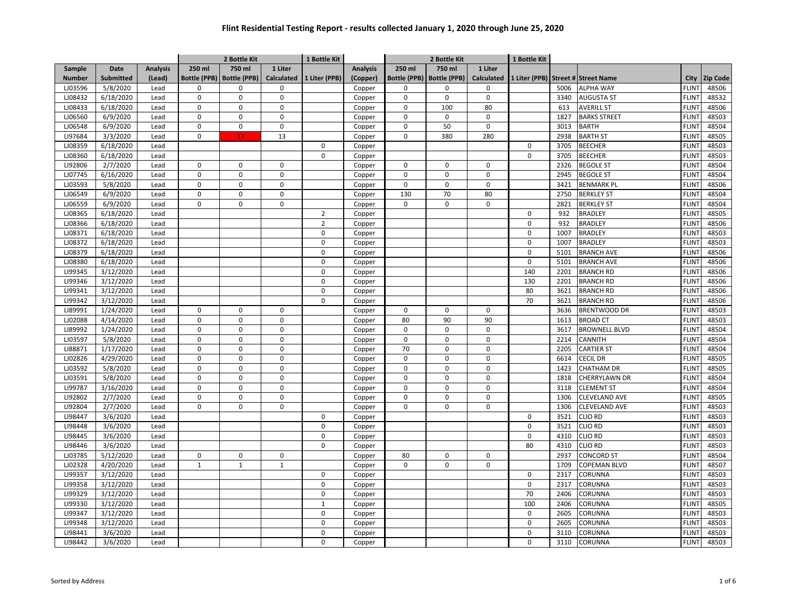|               |                  |                 |              | 2 Bottle Kit                |                   | 1 Bottle Kit   |                 |             | 2 Bottle Kit                |              | 1 Bottle Kit           |      |                      |              |          |
|---------------|------------------|-----------------|--------------|-----------------------------|-------------------|----------------|-----------------|-------------|-----------------------------|--------------|------------------------|------|----------------------|--------------|----------|
| Sample        | Date             | <b>Analysis</b> | 250 ml       | 750 ml                      | 1 Liter           |                | <b>Analysis</b> | 250 ml      | 750 ml                      | 1 Liter      |                        |      |                      |              |          |
| <b>Number</b> | <b>Submitted</b> | (Lead)          |              | Bottle (PPB)   Bottle (PPB) | <b>Calculated</b> | 1 Liter (PPB)  | (Copper)        |             | Bottle (PPB)   Bottle (PPB) | Calculated   | 1 Liter (PPB) Street # |      | <b>Street Name</b>   | City         | Zip Code |
| LJ03596       | 5/8/2020         | Lead            | $\Omega$     | $\mathbf 0$                 | $\mathbf 0$       |                | Copper          | $\Omega$    | $\mathbf 0$                 | 0            |                        | 5006 | <b>ALPHA WAY</b>     | <b>FLINT</b> | 48506    |
| LJ08432       | 6/18/2020        | Lead            | 0            | $\pmb{0}$                   | $\mathsf 0$       |                | Copper          | $\mathbf 0$ | $\mathbf 0$                 | 0            |                        | 3340 | <b>AUGUSTA ST</b>    | <b>FLINT</b> | 48532    |
| LJ08433       | 6/18/2020        | Lead            | 0            | $\mathbf 0$                 | $\mathbf 0$       |                | Copper          | $\mathbf 0$ | 100                         | 80           |                        | 613  | <b>AVERILL ST</b>    | <b>FLINT</b> | 48506    |
| LJ06560       | 6/9/2020         | Lead            | 0            | $\mathbf 0$                 | $\pmb{0}$         |                | Copper          | $\mathbf 0$ | $\pmb{0}$                   | 0            |                        | 1827 | <b>BARKS STREET</b>  | <b>FLINT</b> | 48503    |
| LJ06548       | 6/9/2020         | Lead            | 0            | $\mathsf 0$                 | $\mathbf 0$       |                | Copper          | $\mathbf 0$ | 50                          | $\mathbf 0$  |                        | 3013 | <b>BARTH</b>         | <b>FLINT</b> | 48504    |
| LI97684       | 3/3/2020         | Lead            | 0            | 17                          | 13                |                | Copper          | $\mathbf 0$ | 380                         | 280          |                        | 2938 | <b>BARTH ST</b>      | <b>FLINT</b> | 48505    |
| LJ08359       | 6/18/2020        | Lead            |              |                             |                   | $\mathbf 0$    | Copper          |             |                             |              | $\mathbf 0$            | 3705 | <b>BEECHER</b>       | <b>FLINT</b> | 48503    |
| LJ08360       | 6/18/2020        | Lead            |              |                             |                   | $\Omega$       | Copper          |             |                             |              | 0                      | 3705 | <b>BEECHER</b>       | <b>FLINT</b> | 48503    |
| LI92806       | 2/7/2020         | Lead            | $\mathbf 0$  | $\mathbf 0$                 | $\Omega$          |                | Copper          | $\Omega$    | $\Omega$                    | 0            |                        | 2326 | <b>BEGOLE ST</b>     | <b>FLINT</b> | 48504    |
| LJ07745       | 6/16/2020        | Lead            | $\mathbf 0$  | $\mathbf 0$                 | $\mathbf 0$       |                | Copper          | $\Omega$    | $\mathbf 0$                 | 0            |                        | 2945 | <b>BEGOLE ST</b>     | <b>FLINT</b> | 48504    |
| LJ03593       | 5/8/2020         | Lead            | 0            | $\mathbf 0$                 | $\mathsf 0$       |                | Copper          | $\Omega$    | $\pmb{0}$                   | $\mathsf{O}$ |                        | 3421 | <b>BENMARK PL</b>    | <b>FLINT</b> | 48506    |
| LJ06549       | 6/9/2020         | Lead            | $\mathbf 0$  | $\mathbf 0$                 | $\mathsf 0$       |                | Copper          | 130         | 70                          | 80           |                        | 2750 | <b>BERKLEY ST</b>    | <b>FLINT</b> | 48504    |
| LJ06559       | 6/9/2020         | Lead            | $\Omega$     | $\mathbf 0$                 | $\mathbf 0$       |                | Copper          | $\Omega$    | $\Omega$                    | 0            |                        | 2821 | <b>BERKLEY ST</b>    | <b>FLINT</b> | 48504    |
| LJ08365       | 6/18/2020        | Lead            |              |                             |                   | $\overline{2}$ | Copper          |             |                             |              | $\mathbf 0$            | 932  | <b>BRADLEY</b>       | <b>FLINT</b> | 48505    |
| LJ08366       | 6/18/2020        | Lead            |              |                             |                   | $\mathbf 2$    | Copper          |             |                             |              | $\mathsf 0$            | 932  | <b>BRADLEY</b>       | <b>FLINT</b> | 48506    |
| LJ08371       | 6/18/2020        | Lead            |              |                             |                   | $\mathbf 0$    | Copper          |             |                             |              | $\mathbf 0$            | 1007 | <b>BRADLEY</b>       | <b>FLINT</b> | 48503    |
| LJ08372       | 6/18/2020        | Lead            |              |                             |                   | $\Omega$       | Copper          |             |                             |              | $\pmb{0}$              | 1007 | <b>BRADLEY</b>       | <b>FLINT</b> | 48503    |
| LJ08379       | 6/18/2020        | Lead            |              |                             |                   | 0              | Copper          |             |                             |              | $\mathbf 0$            | 5101 | <b>BRANCH AVE</b>    | <b>FLINT</b> | 48506    |
| LJ08380       | 6/18/2020        | Lead            |              |                             |                   | 0              | Copper          |             |                             |              | $\pmb{0}$              | 5101 | <b>BRANCH AVE</b>    | <b>FLINT</b> | 48506    |
| LI99345       | 3/12/2020        | Lead            |              |                             |                   | $\mathbf 0$    | Copper          |             |                             |              | 140                    | 2201 | <b>BRANCH RD</b>     | <b>FLINT</b> | 48506    |
| LI99346       | 3/12/2020        | Lead            |              |                             |                   | $\Omega$       | Copper          |             |                             |              | 130                    | 2201 | <b>BRANCH RD</b>     | <b>FLINT</b> | 48506    |
| LI99341       | 3/12/2020        | Lead            |              |                             |                   | $\Omega$       | Copper          |             |                             |              | 80                     | 3621 | <b>BRANCH RD</b>     | <b>FLINT</b> | 48506    |
| LI99342       | 3/12/2020        | Lead            |              |                             |                   | $\Omega$       | Copper          |             |                             |              | 70                     | 3621 | <b>BRANCH RD</b>     | <b>FLINT</b> | 48506    |
| LI89991       | 1/24/2020        | Lead            | $\mathbf 0$  | $\mathbf 0$                 | $\mathbf 0$       |                | Copper          | $\mathbf 0$ | $\mathbf 0$                 | $\mathbf 0$  |                        | 3636 | <b>BRENTWOOD DR</b>  | <b>FLINT</b> | 48503    |
| LJ02088       | 4/14/2020        | Lead            | 0            | $\mathbf 0$                 | $\mathsf 0$       |                | Copper          | 80          | 90                          | 90           |                        | 1613 | <b>BROAD CT</b>      | <b>FLINT</b> | 48503    |
| LI89992       | 1/24/2020        | Lead            | $\mathbf 0$  | $\mathbf 0$                 | $\mathbf 0$       |                | Copper          | $\mathbf 0$ | $\mathbf 0$                 | $\mathbf 0$  |                        | 3617 | <b>BROWNELL BLVD</b> | <b>FLINT</b> | 48504    |
| LJ03597       | 5/8/2020         | Lead            | 0            | $\mathbf 0$                 | $\mathsf 0$       |                | Copper          | $\mathsf 0$ | $\mathbf 0$                 | $\pmb{0}$    |                        | 2214 | CANNITH              | <b>FLINT</b> | 48504    |
| LI88871       | 1/17/2020        | Lead            | 0            | $\mathbf 0$                 | $\mathbf 0$       |                | Copper          | 70          | $\mathbf 0$                 | $\mathbf 0$  |                        | 2205 | <b>CARTIER ST</b>    | <b>FLINT</b> | 48504    |
| LJ02826       | 4/29/2020        | Lead            | 0            | $\mathbf 0$                 | $\mathsf 0$       |                | Copper          | $\mathsf 0$ | $\mathbf 0$                 | 0            |                        | 6614 | CECIL DR             | <b>FLINT</b> | 48505    |
| LJ03592       | 5/8/2020         | Lead            | 0            | $\mathbf 0$                 | $\mathbf 0$       |                | Copper          | $\mathbf 0$ | $\mathbf 0$                 | 0            |                        | 1423 | <b>CHATHAM DR</b>    | <b>FLINT</b> | 48505    |
| LJ03591       | 5/8/2020         | Lead            | 0            | $\mathbf 0$                 | $\mathsf 0$       |                | Copper          | $\mathbf 0$ | $\mathsf 0$                 | 0            |                        | 1818 | CHERRYLAWN DR        | <b>FLINT</b> | 48504    |
| LI99787       | 3/16/2020        | Lead            | 0            | $\mathbf 0$                 | $\mathbf 0$       |                | Copper          | $\mathbf 0$ | $\mathbf 0$                 | 0            |                        | 3118 | <b>CLEMENT ST</b>    | <b>FLINT</b> | 48504    |
| LI92802       | 2/7/2020         | Lead            | 0            | $\pmb{0}$                   | $\mathsf 0$       |                | Copper          | 0           | $\mathsf 0$                 | $\mathsf{O}$ |                        | 1306 | <b>CLEVELAND AVE</b> | <b>FLINT</b> | 48505    |
| LI92804       | 2/7/2020         | Lead            | $\mathbf 0$  | $\mathbf 0$                 | $\mathbf 0$       |                | Copper          | $\Omega$    | $\mathbf 0$                 | 0            |                        | 1306 | CLEVELAND AVE        | <b>FLINT</b> | 48503    |
| LI98447       | 3/6/2020         | Lead            |              |                             |                   | $\Omega$       | Copper          |             |                             |              | $\mathbf 0$            | 3521 | CLIO RD              | <b>FLINT</b> | 48503    |
| LI98448       | 3/6/2020         | Lead            |              |                             |                   | $\Omega$       | Copper          |             |                             |              | 0                      | 3521 | CLIO RD              | <b>FLINT</b> | 48503    |
| LI98445       | 3/6/2020         | Lead            |              |                             |                   | $\Omega$       | Copper          |             |                             |              | $\mathbf 0$            | 4310 | CLIO RD              | <b>FLINT</b> | 48503    |
| LI98446       | 3/6/2020         | Lead            |              |                             |                   | $\Omega$       | Copper          |             |                             |              | 80                     | 4310 | CLIO RD              | <b>FLINT</b> | 48503    |
| LJ03785       | 5/12/2020        | Lead            | 0            | $\mathbf 0$                 | $\mathsf 0$       |                | Copper          | 80          | $\mathbf 0$                 | $\pmb{0}$    |                        | 2937 | CONCORD ST           | <b>FLINT</b> | 48504    |
| LJ02328       | 4/20/2020        | Lead            | $\mathbf{1}$ | $1\,$                       | $\mathbf{1}$      |                | Copper          | 0           | $\mathsf 0$                 | $\pmb{0}$    |                        | 1709 | COPEMAN BLVD         | <b>FLINT</b> | 48507    |
| LI99357       | 3/12/2020        | Lead            |              |                             |                   | 0              | Copper          |             |                             |              | $\mathsf 0$            | 2317 | CORUNNA              | <b>FLINT</b> | 48503    |
| LI99358       | 3/12/2020        | Lead            |              |                             |                   | $\pmb{0}$      | Copper          |             |                             |              | $\pmb{0}$              | 2317 | CORUNNA              | <b>FLINT</b> | 48503    |
| LI99329       | 3/12/2020        | Lead            |              |                             |                   | $\mathbf 0$    | Copper          |             |                             |              | 70                     | 2406 | CORUNNA              | <b>FLINT</b> | 48503    |
| LI99330       | 3/12/2020        | Lead            |              |                             |                   | $\overline{1}$ | Copper          |             |                             |              | 100                    | 2406 | CORUNNA              | <b>FLINT</b> | 48505    |
| LI99347       | 3/12/2020        | Lead            |              |                             |                   | 0              | Copper          |             |                             |              | $\mathbf 0$            | 2605 | CORUNNA              | <b>FLINT</b> | 48503    |
| LI99348       | 3/12/2020        | Lead            |              |                             |                   | 0              | Copper          |             |                             |              | $\mathbf 0$            | 2605 | CORUNNA              | <b>FLINT</b> | 48503    |
| LI98441       | 3/6/2020         | Lead            |              |                             |                   | 0              | Copper          |             |                             |              | $\mathbf 0$            | 3110 | CORUNNA              | <b>FLINT</b> | 48503    |
| LI98442       | 3/6/2020         | Lead            |              |                             |                   | 0              | Copper          |             |                             |              | 0                      | 3110 | CORUNNA              | <b>FLINT</b> | 48503    |
|               |                  |                 |              |                             |                   |                |                 |             |                             |              |                        |      |                      |              |          |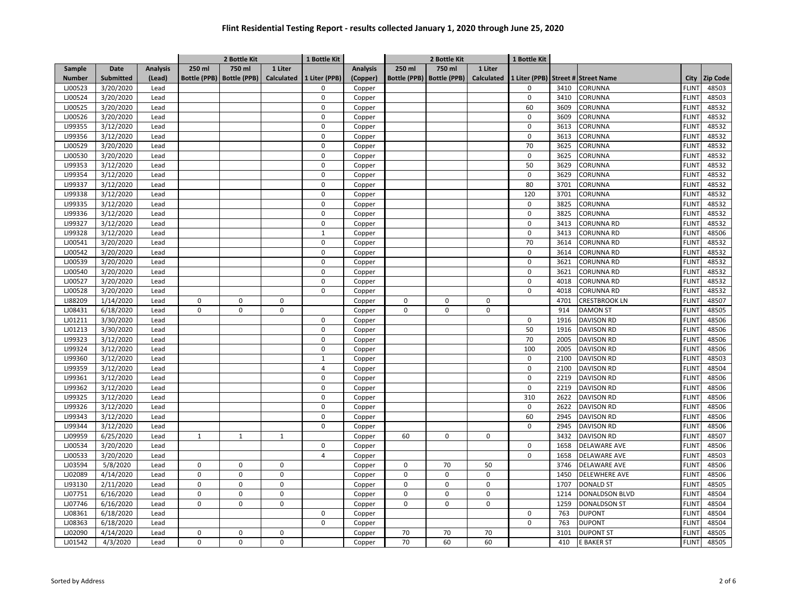|               |                  |                 |              | 2 Bottle Kit                |                   | 1 Bottle Kit   |                 |                     | 2 Bottle Kit        |                   | 1 Bottle Kit  |      |                             |                   |                 |
|---------------|------------------|-----------------|--------------|-----------------------------|-------------------|----------------|-----------------|---------------------|---------------------|-------------------|---------------|------|-----------------------------|-------------------|-----------------|
| Sample        | <b>Date</b>      | <b>Analysis</b> | 250 ml       | 750 ml                      | 1 Liter           |                | <b>Analysis</b> | 250 ml              | 750 ml              | 1 Liter           |               |      |                             |                   |                 |
| <b>Number</b> | <b>Submitted</b> | (Lead)          |              | Bottle (PPB)   Bottle (PPB) | <b>Calculated</b> | 1 Liter (PPB)  | (Copper)        | <b>Bottle (PPB)</b> | <b>Bottle (PPB)</b> | <b>Calculated</b> | 1 Liter (PPB) |      | <b>Street # Street Name</b> | City              | <b>Zip Code</b> |
| LJ00523       | 3/20/2020        | Lead            |              |                             |                   | 0              | Copper          |                     |                     |                   | 0             | 3410 | CORUNNA                     | <b>FLINT</b>      | 48503           |
| LJ00524       | 3/20/2020        | Lead            |              |                             |                   | $\mathbf 0$    | Copper          |                     |                     |                   | $\mathsf 0$   | 3410 | CORUNNA                     | <b>FLINT</b>      | 48503           |
| LJ00525       | 3/20/2020        | Lead            |              |                             |                   | $\mathbf{0}$   | Copper          |                     |                     |                   | 60            | 3609 | CORUNNA                     | <b>FLINT</b>      | 48532           |
| LJ00526       | 3/20/2020        | Lead            |              |                             |                   | 0              | Copper          |                     |                     |                   | $\mathsf 0$   | 3609 | CORUNNA                     | <b>FLINT</b>      | 48532           |
| LI99355       | 3/12/2020        | Lead            |              |                             |                   | $\mathbf 0$    | Copper          |                     |                     |                   | $\mathbf 0$   | 3613 | CORUNNA                     | <b>FLINT</b>      | 48532           |
| LI99356       | 3/12/2020        | Lead            |              |                             |                   | $\Omega$       | Copper          |                     |                     |                   | $\mathsf 0$   | 3613 | CORUNNA                     | <b>FLINT</b>      | 48532           |
| LJ00529       | 3/20/2020        | Lead            |              |                             |                   | $\Omega$       | Copper          |                     |                     |                   | 70            | 3625 | CORUNNA                     | <b>FLINT</b>      | 48532           |
| LJ00530       | 3/20/2020        | Lead            |              |                             |                   | $\Omega$       | Copper          |                     |                     |                   | $\mathbf 0$   | 3625 | CORUNNA                     | <b>FLINT</b>      | 48532           |
| LI99353       | 3/12/2020        | Lead            |              |                             |                   | $\mathbf 0$    | Copper          |                     |                     |                   | 50            | 3629 | CORUNNA                     | <b>FLINT</b>      | 48532           |
| LI99354       | 3/12/2020        | Lead            |              |                             |                   | $\Omega$       | Copper          |                     |                     |                   | 0             | 3629 | CORUNNA                     | FLIN <sup>-</sup> | 48532           |
| LI99337       | 3/12/2020        | Lead            |              |                             |                   | $\mathbf 0$    | Copper          |                     |                     |                   | 80            | 3701 | CORUNNA                     | <b>FLINT</b>      | 48532           |
| LI99338       | 3/12/2020        | Lead            |              |                             |                   | $\mathbf 0$    | Copper          |                     |                     |                   | 120           | 3701 | CORUNNA                     | <b>FLINT</b>      | 48532           |
| LI99335       | 3/12/2020        | Lead            |              |                             |                   | $\mathbf 0$    | Copper          |                     |                     |                   | $\mathbf 0$   | 3825 | CORUNNA                     | <b>FLINT</b>      | 48532           |
| LI99336       | 3/12/2020        | Lead            |              |                             |                   | $\mathbf 0$    | Copper          |                     |                     |                   | $\mathsf 0$   | 3825 | CORUNNA                     | <b>FLINT</b>      | 48532           |
| LI99327       | 3/12/2020        | Lead            |              |                             |                   | $\mathsf 0$    | Copper          |                     |                     |                   | $\mathsf 0$   | 3413 | <b>CORUNNA RD</b>           | <b>FLINT</b>      | 48532           |
| LI99328       | 3/12/2020        | Lead            |              |                             |                   | $\mathbf{1}$   | Copper          |                     |                     |                   | $\mathsf 0$   | 3413 | CORUNNA RD                  | FLIN <sup>-</sup> | 48506           |
| LJ00541       | 3/20/2020        | Lead            |              |                             |                   | $\mathbf 0$    | Copper          |                     |                     |                   | 70            | 3614 | <b>CORUNNA RD</b>           | FLIN <sup>-</sup> | 48532           |
| LJ00542       | 3/20/2020        | Lead            |              |                             |                   | $\mathsf 0$    | Copper          |                     |                     |                   | $\mathsf 0$   | 3614 | <b>CORUNNA RD</b>           | <b>FLINT</b>      | 48532           |
| LJ00539       | 3/20/2020        | Lead            |              |                             |                   | $\mathbf 0$    | Copper          |                     |                     |                   | $\mathsf 0$   | 3621 | <b>CORUNNA RD</b>           | <b>FLINT</b>      | 48532           |
| LJ00540       | 3/20/2020        | Lead            |              |                             |                   | $\mathbf 0$    | Copper          |                     |                     |                   | $\mathsf 0$   | 3621 | <b>CORUNNA RD</b>           | <b>FLINT</b>      | 48532           |
| LJ00527       | 3/20/2020        | Lead            |              |                             |                   | $\Omega$       | Copper          |                     |                     |                   | 0             | 4018 | <b>CORUNNA RD</b>           | <b>FLINT</b>      | 48532           |
| LJ00528       | 3/20/2020        | Lead            |              |                             |                   | $\Omega$       | Copper          |                     |                     |                   | $\mathbf 0$   | 4018 | <b>CORUNNA RD</b>           | <b>FLINT</b>      | 48532           |
| LI88209       | 1/14/2020        | Lead            | $\mathbf 0$  | $\mathbf 0$                 | $\mathbf 0$       |                | Copper          | $\Omega$            | 0                   | $\Omega$          |               | 4701 | <b>CRESTBROOK LN</b>        | <b>FLINT</b>      | 48507           |
| LJ08431       | 6/18/2020        | Lead            | 0            | $\mathbf 0$                 | $\mathsf 0$       |                | Copper          | $\mathbf 0$         | $\mathbf 0$         | $\mathsf 0$       |               | 914  | <b>DAMON ST</b>             | <b>FLINT</b>      | 48505           |
| LJ01211       | 3/30/2020        | Lead            |              |                             |                   | $\mathbf{0}$   | Copper          |                     |                     |                   | $\mathbf 0$   | 1916 | <b>DAVISON RD</b>           | <b>FLINT</b>      | 48506           |
| LJ01213       | 3/30/2020        | Lead            |              |                             |                   | $\mathsf 0$    | Copper          |                     |                     |                   | 50            | 1916 | <b>DAVISON RD</b>           | <b>FLINT</b>      | 48506           |
| LI99323       | 3/12/2020        | Lead            |              |                             |                   | $\mathbf 0$    | Copper          |                     |                     |                   | 70            | 2005 | <b>DAVISON RD</b>           | <b>FLINT</b>      | 48506           |
| LI99324       | 3/12/2020        | Lead            |              |                             |                   | $\pmb{0}$      | Copper          |                     |                     |                   | 100           | 2005 | <b>DAVISON RD</b>           | <b>FLINT</b>      | 48506           |
| LI99360       | 3/12/2020        | Lead            |              |                             |                   | $\mathbf{1}$   | Copper          |                     |                     |                   | $\mathbf 0$   | 2100 | <b>DAVISON RD</b>           | <b>FLINT</b>      | 48503           |
| LI99359       | 3/12/2020        | Lead            |              |                             |                   | $\overline{a}$ | Copper          |                     |                     |                   | $\mathsf 0$   | 2100 | <b>DAVISON RD</b>           | <b>FLINT</b>      | 48504           |
| LI99361       | 3/12/2020        | Lead            |              |                             |                   | $\mathbf 0$    | Copper          |                     |                     |                   | $\mathbf 0$   | 2219 | <b>DAVISON RD</b>           | <b>FLINT</b>      | 48506           |
| LI99362       | 3/12/2020        | Lead            |              |                             |                   | 0              | Copper          |                     |                     |                   | $\mathsf 0$   | 2219 | <b>DAVISON RD</b>           | <b>FLINT</b>      | 48506           |
| LI99325       | 3/12/2020        | Lead            |              |                             |                   | $\mathbf{0}$   | Copper          |                     |                     |                   | 310           | 2622 | <b>DAVISON RD</b>           | <b>FLINT</b>      | 48506           |
| LI99326       | 3/12/2020        | Lead            |              |                             |                   | $\Omega$       | Copper          |                     |                     |                   | $\mathsf 0$   | 2622 | <b>DAVISON RD</b>           | <b>FLINT</b>      | 48506           |
| LI99343       | 3/12/2020        | Lead            |              |                             |                   | $\Omega$       | Copper          |                     |                     |                   | 60            | 2945 | <b>DAVISON RD</b>           | <b>FLINT</b>      | 48506           |
| LI99344       | 3/12/2020        | Lead            |              |                             |                   | $\Omega$       | Copper          |                     |                     |                   | 0             | 2945 | <b>DAVISON RD</b>           | <b>FLINT</b>      | 48506           |
| LJ09959       | 6/25/2020        | Lead            | $\mathbf{1}$ | $\mathbf{1}$                | $\mathbf{1}$      |                | Copper          | 60                  | 0                   | $\mathbf{0}$      |               | 3432 | <b>DAVISON RD</b>           | <b>FLINT</b>      | 48507           |
| LJ00534       | 3/20/2020        | Lead            |              |                             |                   | $\mathbf 0$    | Copper          |                     |                     |                   | 0             | 1658 | <b>DELAWARE AVE</b>         | FLIN <sup>-</sup> | 48506           |
| LJ00533       | 3/20/2020        | Lead            |              |                             |                   | $\overline{4}$ | Copper          |                     |                     |                   | 0             | 1658 | <b>DELAWARE AVE</b>         | <b>FLINT</b>      | 48503           |
| LJ03594       | 5/8/2020         | Lead            | $\mathbf 0$  | $\mathbf 0$                 | $\mathbf 0$       |                | Copper          | 0                   | 70                  | 50                |               | 3746 | <b>DELAWARE AVE</b>         | <b>FLINT</b>      | 48506           |
| LJ02089       | 4/14/2020        | Lead            | 0            | $\mathbf 0$                 | $\mathbf 0$       |                | Copper          | 0                   | $\mathbf 0$         | $\mathbf 0$       |               | 1450 | <b>DELEWHERE AVE</b>        | <b>FLINT</b>      | 48506           |
| LI93130       | 2/11/2020        | Lead            | $\mathbf 0$  | $\pmb{0}$                   | $\mathbf 0$       |                | Copper          | 0                   | $\mathbf 0$         | $\pmb{0}$         |               | 1707 | <b>DONALD ST</b>            | <b>FLINT</b>      | 48505           |
| LJ07751       | 6/16/2020        | Lead            | 0            | $\mathbf 0$                 | $\mathbf 0$       |                | Copper          | 0                   | $\mathbf 0$         | 0                 |               | 1214 | DONALDSON BLVD              | <b>FLINT</b>      | 48504           |
| LJ07746       | 6/16/2020        | Lead            | 0            | $\mathbf 0$                 | $\mathbf 0$       |                | Copper          | 0                   | $\mathbf 0$         | 0                 |               | 1259 | <b>DONALDSON ST</b>         | <b>FLINT</b>      | 48504           |
| LJ08361       | 6/18/2020        | Lead            |              |                             |                   | $\mathbf 0$    | Copper          |                     |                     |                   | $\mathbf 0$   | 763  | <b>DUPONT</b>               | <b>FLINT</b>      | 48504           |
| LJ08363       | 6/18/2020        | Lead            |              |                             |                   | 0              | Copper          |                     |                     |                   | 0             | 763  | <b>DUPONT</b>               | <b>FLINT</b>      | 48504           |
| LJ02090       | 4/14/2020        | Lead            | 0            | $\mathbf 0$                 | $\mathbf 0$       |                | Copper          | 70                  | 70                  | 70                |               | 3101 | <b>DUPONT ST</b>            | <b>FLINT</b>      | 48505           |
| LJ01542       | 4/3/2020         | Lead            | 0            | $\mathbf 0$                 | $\mathbf 0$       |                | Copper          | 70                  | 60                  | 60                |               | 410  | <b>E BAKER ST</b>           | <b>FLINT</b>      | 48505           |
|               |                  |                 |              |                             |                   |                |                 |                     |                     |                   |               |      |                             |                   |                 |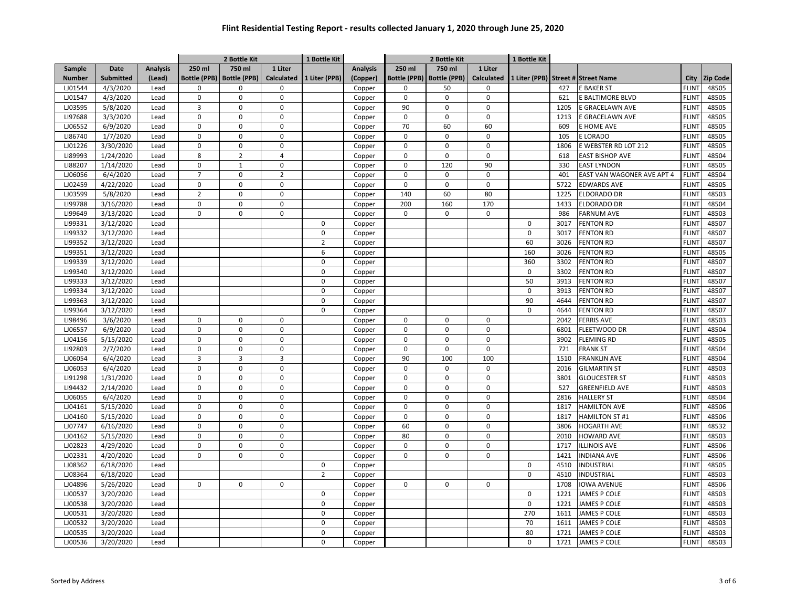| 750 ml<br>Date<br><b>Analysis</b><br>250 ml<br>750 ml<br>1 Liter<br><b>Analysis</b><br>250 ml<br>Sample<br>1 Liter<br><b>Calculated</b><br><b>Submitted</b><br>(Lead)<br><b>Bottle (PPB)</b><br><b>Bottle (PPB)</b><br>1 Liter (PPB)<br>(Copper)<br><b>Bottle (PPB)</b><br><b>Bottle (PPB)</b><br><b>Calculated</b><br>1 Liter (PPB) Street # Street Name<br>City<br><b>Zip Code</b><br><b>Number</b><br><b>FLINT</b><br>48505<br>LJ01544<br>4/3/2020<br>$\Omega$<br>$\Omega$<br>$\mathbf 0$<br>50<br>$\Omega$<br>427<br><b>E BAKER ST</b><br>Lead<br>Copper<br>$\Omega$<br>LJ01547<br>4/3/2020<br>$\pmb{0}$<br>$\pmb{0}$<br>$\pmb{0}$<br>$\mathbf 0$<br>$\mathbf 0$<br>$\mathsf{O}\xspace$<br><b>FLINT</b><br>48505<br>Lead<br>621<br>E BALTIMORE BLVD<br>Copper<br>$\overline{3}$<br>90<br>LJ03595<br>5/8/2020<br>$\pmb{0}$<br>$\mathbf 0$<br>$\Omega$<br>0<br><b>FLINT</b><br>48505<br>Lead<br>1205<br>E GRACELAWN AVE<br>Copper<br>LI97688<br>3/3/2020<br>$\mathbf 0$<br>$\mathbf 0$<br>$\mathsf 0$<br>0<br>$\mathbf 0$<br>$\mathbf 0$<br>1213<br>E GRACELAWN AVE<br><b>FLINT</b><br>48505<br>Lead<br>Copper<br>LJ06552<br>6/9/2020<br>$\pmb{0}$<br>$\pmb{0}$<br>$\pmb{0}$<br>60<br>48505<br>Lead<br>70<br>60<br>609<br>E HOME AVE<br><b>FLINT</b><br>Copper<br>LI86740<br>1/7/2020<br>Lead<br>$\mathbf 0$<br>$\mathbf 0$<br>$\mathbf 0$<br>$\mathbf 0$<br>$\mathbf 0$<br>$\mathbf 0$<br>E LORADO<br><b>FLINT</b><br>48505<br>105<br>Copper<br>LJ01226<br>3/30/2020<br>$\mathbf 0$<br>$\mathbf 0$<br><b>FLINT</b><br>48505<br>Lead<br>$\pmb{0}$<br>$\mathbf 0$<br>$\mathbf 0$<br>$\mathbf 0$<br>1806<br>E WEBSTER RD LOT 212<br>Copper<br>LI89993<br>8<br>$\overline{2}$<br>$\Omega$<br><b>FLINT</b><br>48504<br>1/24/2020<br>Lead<br>$\overline{4}$<br>$\Omega$<br>$\Omega$<br>618<br><b>EAST BISHOP AVE</b><br>Copper<br>LI88207<br>1/14/2020<br>$\Omega$<br>$\mathbf{1}$<br>$\mathbf 0$<br>$\mathbf 0$<br>120<br>90<br><b>EAST LYNDON</b><br><b>FLINT</b><br>48505<br>Lead<br>330<br>Copper<br>6/4/2020<br>$\overline{7}$<br>$\Omega$<br>$\overline{2}$<br>FLIN <sup>-</sup><br>48504<br>LJ06056<br>Lead<br>$\mathbf 0$<br>$\mathbf 0$<br>$\Omega$<br>401<br>EAST VAN WAGONER AVE APT 4<br>Copper<br>LJ02459<br>4/22/2020<br>$\pmb{0}$<br>$\pmb{0}$<br>$\mathbf 0$<br>$\mathbf 0$<br>$\mathbf 0$<br>$\mathbf{0}$<br>5722<br><b>EDWARDS AVE</b><br><b>FLINT</b><br>48505<br>Lead<br>Copper<br>ELDORADO DR<br><b>FLINT</b><br>LJ03599<br>5/8/2020<br>Lead<br>$\overline{2}$<br>$\Omega$<br>$\mathbf 0$<br>140<br>60<br>80<br>1225<br>48503<br>Copper<br>$\mathbf 0$<br>LI99788<br>3/16/2020<br>$\mathbf 0$<br>$\mathbf 0$<br>200<br>160<br>170<br>ELDORADO DR<br><b>FLINT</b><br>48504<br>Lead<br>1433<br>Copper<br>$\pmb{0}$<br>LI99649<br>3/13/2020<br>$\pmb{0}$<br>$\mathbf 0$<br>0<br>$\mathsf 0$<br>$\mathsf 0$<br>986<br><b>FARNUM AVE</b><br><b>FLINT</b><br>48503<br>Lead<br>Copper<br>LI99331<br>3/12/2020<br><b>FENTON RD</b><br><b>FLINT</b><br>48507<br>Lead<br>$\mathbf 0$<br>Copper<br>$\mathbf 0$<br>3017<br>$\overline{0}$<br>48507<br>LI99332<br>3/12/2020<br>$\mathbf 0$<br>3017<br><b>FENTON RD</b><br>FLIN <sup>-</sup><br>Lead<br>Copper<br>60<br>LI99352<br>3/12/2020<br>$\overline{2}$<br>3026<br><b>FENTON RD</b><br><b>FLINT</b><br>48507<br>Lead<br>Copper<br>LI99351<br>160<br>48505<br>3/12/2020<br>Lead<br>6<br>3026<br><b>FENTON RD</b><br><b>FLINT</b><br>Copper<br>360<br>LI99339<br>3/12/2020<br>$\Omega$<br>3302<br><b>FENTON RD</b><br><b>FLINT</b><br>48507<br>Lead<br>Copper<br>48507<br>LI99340<br>3/12/2020<br>$\mathbf 0$<br>Lead<br>$\Omega$<br>3302<br><b>FENTON RD</b><br><b>FLINT</b><br>Copper<br>50<br>LI99333<br>3/12/2020<br>$\Omega$<br><b>FLINT</b><br>48507<br>Lead<br>3913<br><b>FENTON RD</b><br>Copper<br>LI99334<br>3/12/2020<br>$\Omega$<br>$\mathbf 0$<br><b>FENTON RD</b><br><b>FLINT</b><br>48507<br>Lead<br>3913<br>Copper<br>LI99363<br>3/12/2020<br>90<br><b>FLINT</b><br>48507<br>Lead<br>$\Omega$<br>4644<br><b>FENTON RD</b><br>Copper<br>LI99364<br>3/12/2020<br>$\mathbf 0$<br>$\mathbf 0$<br><b>FENTON RD</b><br><b>FLINT</b><br>48507<br>Lead<br>4644<br>Copper<br>LI98496<br><b>FLINT</b><br>48503<br>3/6/2020<br>Lead<br>$\pmb{0}$<br>$\pmb{0}$<br>$\mathsf 0$<br>$\mathbf 0$<br>0<br>$\mathbf 0$<br>2042<br><b>FERRIS AVE</b><br>Copper<br>$\mathbf 0$<br>$\mathbf 0$<br>$\mathbf 0$<br>$\mathbf 0$<br>48504<br>LJ06557<br>6/9/2020<br>Lead<br>0<br>$\mathbf 0$<br>FLEETWOOD DR<br><b>FLINT</b><br>Copper<br>6801<br>$\mathbf 0$<br>$\pmb{0}$<br>$\mathbf 0$<br>48505<br>LJ04156<br>5/15/2020<br>0<br>$\mathbf 0$<br>$\mathbf 0$<br>3902<br><b>FLEMING RD</b><br><b>FLINT</b><br>Lead<br>Copper<br>$\mathbf 0$<br><b>FLINT</b><br>LI92803<br>2/7/2020<br>$\mathbf 0$<br>$\mathbf 0$<br>$\Omega$<br>$\Omega$<br>$\Omega$<br>721<br><b>FRANK ST</b><br>48504<br>Lead<br>Copper<br>$\overline{3}$<br>LJ06054<br>6/4/2020<br>3<br>$\overline{3}$<br>90<br>100<br>100<br><b>FLINT</b><br>48504<br>1510<br><b>FRANKLIN AVE</b><br>Lead<br>Copper<br>$\mathbf 0$<br>$\mathbf 0$<br>$\mathbf 0$<br>48503<br>LJ06053<br>6/4/2020<br>Lead<br>$\mathbf 0$<br>$\mathbf 0$<br>$\mathbf 0$<br>2016<br><b>GILMARTIN ST</b><br><b>FLINT</b><br>Copper<br>LI91298<br>1/31/2020<br>$\pmb{0}$<br>$\pmb{0}$<br>$\pmb{0}$<br>$\pmb{0}$<br><b>GLOUCESTER ST</b><br>48503<br>Lead<br>0<br>$\mathbf 0$<br>3801<br><b>FLINT</b><br>Copper<br>LI94432<br>$\pmb{0}$<br>$\pmb{0}$<br>48503<br>2/14/2020<br>Lead<br>$\pmb{0}$<br>0<br>0<br>$\Omega$<br>527<br><b>GREENFIELD AVE</b><br><b>FLINT</b><br>Copper<br>$\Omega$<br>48504<br>LJ06055<br>6/4/2020<br>$\pmb{0}$<br>$\mathbf 0$<br>$\Omega$<br>$\mathbf 0$<br>$\Omega$<br><b>HALLERY ST</b><br><b>FLINT</b><br>Lead<br>2816<br>Copper<br>$\Omega$<br>$\mathbf 0$<br><b>FLINT</b><br>48506<br>LJ04161<br>5/15/2020<br>Lead<br>$\mathbf 0$<br>$\mathbf 0$<br>$\mathbf 0$<br>$\Omega$<br>1817<br><b>HAMILTON AVE</b><br>Copper<br>$\Omega$<br>48506<br>LJ04160<br>5/15/2020<br>$\Omega$<br>$\mathbf 0$<br>$\mathbf 0$<br>$\mathbf 0$<br>$\Omega$<br>HAMILTON ST #1<br><b>FLINT</b><br>Lead<br>1817<br>Copper<br>LJ07747<br>6/16/2020<br>$\mathbf 0$<br>$\Omega$<br>$\mathbf 0$<br>60<br>$\Omega$<br>$\Omega$<br><b>HOGARTH AVE</b><br>FLIN <sup>-</sup><br>48532<br>Lead<br>3806<br>Copper<br>$\mathbf 0$<br>80<br>LJ04162<br>5/15/2020<br>$\mathbf 0$<br>$\mathbf 0$<br>$\mathbf 0$<br>$\mathbf 0$<br>2010<br><b>HOWARD AVE</b><br>FLIN <sup>-</sup><br>48503<br>Lead<br>Copper<br>LJ02823<br>4/29/2020<br>$\pmb{0}$<br>$\mathbf 0$<br><b>ILLINOIS AVE</b><br><b>FLINT</b><br>48506<br>Lead<br>$\pmb{0}$<br>$\mathbf 0$<br>$\mathbf 0$<br>$\mathbf 0$<br>1717<br>Copper<br>$\mathbf 0$<br>$\mathbf 0$<br>$\mathbf 0$<br><b>FLINT</b><br>LJ02331<br>4/20/2020<br>Lead<br>$\mathbf 0$<br>$\mathbf 0$<br>$\mathbf 0$<br>1421<br><b>INDIANA AVE</b><br>48506<br>Copper<br><b>FLINT</b><br>48505<br>LJ08362<br>6/18/2020<br>$\mathbf 0$<br>$\mathbf 0$<br>4510<br>INDUSTRIAL<br>Lead<br>Copper<br>$\overline{2}$<br>$\mathbf 0$<br><b>FLINT</b><br>48503<br>LJ08364<br>6/18/2020<br>4510<br>INDUSTRIAL<br>Lead<br>Copper<br>LJ04896<br>5/26/2020<br>$\mathbf 0$<br>$\mathbf 0$<br>$\mathbf 0$<br><b>FLINT</b><br>48506<br>Lead<br>0<br>$\mathbf 0$<br>$\mathbf 0$<br>1708<br><b>IOWA AVENUE</b><br>Copper<br>LJ00537<br><b>JAMES P COLE</b><br>3/20/2020<br>Lead<br>$\mathsf 0$<br>$\mathbf 0$<br>1221<br><b>FLINT</b><br>48503<br>Copper<br>$\mathbf 0$<br>LJ00538<br>3/20/2020<br>$\mathbf 0$<br>1221<br><b>JAMES P COLE</b><br>48503<br>Lead<br><b>FLINT</b><br>Copper<br>270<br>48503<br>LJ00531<br>3/20/2020<br>Lead<br>$\Omega$<br>1611<br><b>JAMES P COLE</b><br><b>FLINT</b><br>Copper<br>70<br>48503<br>LJ00532<br>3/20/2020<br>$\Omega$<br>JAMES P COLE<br><b>FLINT</b><br>Lead<br>1611<br>Copper<br>LJ00535<br>$\Omega$<br>80<br>1721<br><b>FLINT</b><br>48503<br>3/20/2020<br>Lead<br>JAMES P COLE<br>Copper<br>48503<br>LJ00536<br>3/20/2020<br>$\Omega$<br>0<br>1721<br><b>JAMES P COLE</b><br><b>FLINT</b><br>Lead<br>Copper |  |  | 2 Bottle Kit | 1 Bottle Kit |  | 2 Bottle Kit | 1 Bottle Kit |  |  |
|--------------------------------------------------------------------------------------------------------------------------------------------------------------------------------------------------------------------------------------------------------------------------------------------------------------------------------------------------------------------------------------------------------------------------------------------------------------------------------------------------------------------------------------------------------------------------------------------------------------------------------------------------------------------------------------------------------------------------------------------------------------------------------------------------------------------------------------------------------------------------------------------------------------------------------------------------------------------------------------------------------------------------------------------------------------------------------------------------------------------------------------------------------------------------------------------------------------------------------------------------------------------------------------------------------------------------------------------------------------------------------------------------------------------------------------------------------------------------------------------------------------------------------------------------------------------------------------------------------------------------------------------------------------------------------------------------------------------------------------------------------------------------------------------------------------------------------------------------------------------------------------------------------------------------------------------------------------------------------------------------------------------------------------------------------------------------------------------------------------------------------------------------------------------------------------------------------------------------------------------------------------------------------------------------------------------------------------------------------------------------------------------------------------------------------------------------------------------------------------------------------------------------------------------------------------------------------------------------------------------------------------------------------------------------------------------------------------------------------------------------------------------------------------------------------------------------------------------------------------------------------------------------------------------------------------------------------------------------------------------------------------------------------------------------------------------------------------------------------------------------------------------------------------------------------------------------------------------------------------------------------------------------------------------------------------------------------------------------------------------------------------------------------------------------------------------------------------------------------------------------------------------------------------------------------------------------------------------------------------------------------------------------------------------------------------------------------------------------------------------------------------------------------------------------------------------------------------------------------------------------------------------------------------------------------------------------------------------------------------------------------------------------------------------------------------------------------------------------------------------------------------------------------------------------------------------------------------------------------------------------------------------------------------------------------------------------------------------------------------------------------------------------------------------------------------------------------------------------------------------------------------------------------------------------------------------------------------------------------------------------------------------------------------------------------------------------------------------------------------------------------------------------------------------------------------------------------------------------------------------------------------------------------------------------------------------------------------------------------------------------------------------------------------------------------------------------------------------------------------------------------------------------------------------------------------------------------------------------------------------------------------------------------------------------------------------------------------------------------------------------------------------------------------------------------------------------------------------------------------------------------------------------------------------------------------------------------------------------------------------------------------------------------------------------------------------------------------------------------------------------------------------------------------------------------------------------------------------------------------------------------------------------------------------------------------------------------------------------------------------------------------------------------------------------------------------------------------------------------------------------------------------------------------------------------------------------------------------------------------------------------------------------------------------------------------------------------------------------------------------------------------------------------------------------------------------------------------------------------------------------------------------------------------------------------------------------------------------------------------------------------------------------------------------------------------------------------------------------------------------------------------------------------------------------------------------------------------------------------------------------------------------------------------------------------------------------------------------------------------------------------------------------------------------------------------------------------------------------------------------------------------------------------------------------------------------------------------------------------------------------------------------------------------------------------------------------------------------------------------------------------------------------------------------------------------------------------------------------------------------------------------------------------------------------------------------------------------------------------------------------------------------------------------------------------------------------------------------------------------------------------------------------------------------------------------------------------------------------------------------------------------------------------------------------------------------------------------------------------------------------------------------------------------------|--|--|--------------|--------------|--|--------------|--------------|--|--|
|                                                                                                                                                                                                                                                                                                                                                                                                                                                                                                                                                                                                                                                                                                                                                                                                                                                                                                                                                                                                                                                                                                                                                                                                                                                                                                                                                                                                                                                                                                                                                                                                                                                                                                                                                                                                                                                                                                                                                                                                                                                                                                                                                                                                                                                                                                                                                                                                                                                                                                                                                                                                                                                                                                                                                                                                                                                                                                                                                                                                                                                                                                                                                                                                                                                                                                                                                                                                                                                                                                                                                                                                                                                                                                                                                                                                                                                                                                                                                                                                                                                                                                                                                                                                                                                                                                                                                                                                                                                                                                                                                                                                                                                                                                                                                                                                                                                                                                                                                                                                                                                                                                                                                                                                                                                                                                                                                                                                                                                                                                                                                                                                                                                                                                                                                                                                                                                                                                                                                                                                                                                                                                                                                                                                                                                                                                                                                                                                                                                                                                                                                                                                                                                                                                                                                                                                                                                                                                                                                                                                                                                                                                                                                                                                                                                                                                                                                                                                                                                                                                                                                                                                                                                                                                                                                                                                                                                                                                                                                                                                                                            |  |  |              |              |  |              |              |  |  |
|                                                                                                                                                                                                                                                                                                                                                                                                                                                                                                                                                                                                                                                                                                                                                                                                                                                                                                                                                                                                                                                                                                                                                                                                                                                                                                                                                                                                                                                                                                                                                                                                                                                                                                                                                                                                                                                                                                                                                                                                                                                                                                                                                                                                                                                                                                                                                                                                                                                                                                                                                                                                                                                                                                                                                                                                                                                                                                                                                                                                                                                                                                                                                                                                                                                                                                                                                                                                                                                                                                                                                                                                                                                                                                                                                                                                                                                                                                                                                                                                                                                                                                                                                                                                                                                                                                                                                                                                                                                                                                                                                                                                                                                                                                                                                                                                                                                                                                                                                                                                                                                                                                                                                                                                                                                                                                                                                                                                                                                                                                                                                                                                                                                                                                                                                                                                                                                                                                                                                                                                                                                                                                                                                                                                                                                                                                                                                                                                                                                                                                                                                                                                                                                                                                                                                                                                                                                                                                                                                                                                                                                                                                                                                                                                                                                                                                                                                                                                                                                                                                                                                                                                                                                                                                                                                                                                                                                                                                                                                                                                                                            |  |  |              |              |  |              |              |  |  |
|                                                                                                                                                                                                                                                                                                                                                                                                                                                                                                                                                                                                                                                                                                                                                                                                                                                                                                                                                                                                                                                                                                                                                                                                                                                                                                                                                                                                                                                                                                                                                                                                                                                                                                                                                                                                                                                                                                                                                                                                                                                                                                                                                                                                                                                                                                                                                                                                                                                                                                                                                                                                                                                                                                                                                                                                                                                                                                                                                                                                                                                                                                                                                                                                                                                                                                                                                                                                                                                                                                                                                                                                                                                                                                                                                                                                                                                                                                                                                                                                                                                                                                                                                                                                                                                                                                                                                                                                                                                                                                                                                                                                                                                                                                                                                                                                                                                                                                                                                                                                                                                                                                                                                                                                                                                                                                                                                                                                                                                                                                                                                                                                                                                                                                                                                                                                                                                                                                                                                                                                                                                                                                                                                                                                                                                                                                                                                                                                                                                                                                                                                                                                                                                                                                                                                                                                                                                                                                                                                                                                                                                                                                                                                                                                                                                                                                                                                                                                                                                                                                                                                                                                                                                                                                                                                                                                                                                                                                                                                                                                                                            |  |  |              |              |  |              |              |  |  |
|                                                                                                                                                                                                                                                                                                                                                                                                                                                                                                                                                                                                                                                                                                                                                                                                                                                                                                                                                                                                                                                                                                                                                                                                                                                                                                                                                                                                                                                                                                                                                                                                                                                                                                                                                                                                                                                                                                                                                                                                                                                                                                                                                                                                                                                                                                                                                                                                                                                                                                                                                                                                                                                                                                                                                                                                                                                                                                                                                                                                                                                                                                                                                                                                                                                                                                                                                                                                                                                                                                                                                                                                                                                                                                                                                                                                                                                                                                                                                                                                                                                                                                                                                                                                                                                                                                                                                                                                                                                                                                                                                                                                                                                                                                                                                                                                                                                                                                                                                                                                                                                                                                                                                                                                                                                                                                                                                                                                                                                                                                                                                                                                                                                                                                                                                                                                                                                                                                                                                                                                                                                                                                                                                                                                                                                                                                                                                                                                                                                                                                                                                                                                                                                                                                                                                                                                                                                                                                                                                                                                                                                                                                                                                                                                                                                                                                                                                                                                                                                                                                                                                                                                                                                                                                                                                                                                                                                                                                                                                                                                                                            |  |  |              |              |  |              |              |  |  |
|                                                                                                                                                                                                                                                                                                                                                                                                                                                                                                                                                                                                                                                                                                                                                                                                                                                                                                                                                                                                                                                                                                                                                                                                                                                                                                                                                                                                                                                                                                                                                                                                                                                                                                                                                                                                                                                                                                                                                                                                                                                                                                                                                                                                                                                                                                                                                                                                                                                                                                                                                                                                                                                                                                                                                                                                                                                                                                                                                                                                                                                                                                                                                                                                                                                                                                                                                                                                                                                                                                                                                                                                                                                                                                                                                                                                                                                                                                                                                                                                                                                                                                                                                                                                                                                                                                                                                                                                                                                                                                                                                                                                                                                                                                                                                                                                                                                                                                                                                                                                                                                                                                                                                                                                                                                                                                                                                                                                                                                                                                                                                                                                                                                                                                                                                                                                                                                                                                                                                                                                                                                                                                                                                                                                                                                                                                                                                                                                                                                                                                                                                                                                                                                                                                                                                                                                                                                                                                                                                                                                                                                                                                                                                                                                                                                                                                                                                                                                                                                                                                                                                                                                                                                                                                                                                                                                                                                                                                                                                                                                                                            |  |  |              |              |  |              |              |  |  |
|                                                                                                                                                                                                                                                                                                                                                                                                                                                                                                                                                                                                                                                                                                                                                                                                                                                                                                                                                                                                                                                                                                                                                                                                                                                                                                                                                                                                                                                                                                                                                                                                                                                                                                                                                                                                                                                                                                                                                                                                                                                                                                                                                                                                                                                                                                                                                                                                                                                                                                                                                                                                                                                                                                                                                                                                                                                                                                                                                                                                                                                                                                                                                                                                                                                                                                                                                                                                                                                                                                                                                                                                                                                                                                                                                                                                                                                                                                                                                                                                                                                                                                                                                                                                                                                                                                                                                                                                                                                                                                                                                                                                                                                                                                                                                                                                                                                                                                                                                                                                                                                                                                                                                                                                                                                                                                                                                                                                                                                                                                                                                                                                                                                                                                                                                                                                                                                                                                                                                                                                                                                                                                                                                                                                                                                                                                                                                                                                                                                                                                                                                                                                                                                                                                                                                                                                                                                                                                                                                                                                                                                                                                                                                                                                                                                                                                                                                                                                                                                                                                                                                                                                                                                                                                                                                                                                                                                                                                                                                                                                                                            |  |  |              |              |  |              |              |  |  |
|                                                                                                                                                                                                                                                                                                                                                                                                                                                                                                                                                                                                                                                                                                                                                                                                                                                                                                                                                                                                                                                                                                                                                                                                                                                                                                                                                                                                                                                                                                                                                                                                                                                                                                                                                                                                                                                                                                                                                                                                                                                                                                                                                                                                                                                                                                                                                                                                                                                                                                                                                                                                                                                                                                                                                                                                                                                                                                                                                                                                                                                                                                                                                                                                                                                                                                                                                                                                                                                                                                                                                                                                                                                                                                                                                                                                                                                                                                                                                                                                                                                                                                                                                                                                                                                                                                                                                                                                                                                                                                                                                                                                                                                                                                                                                                                                                                                                                                                                                                                                                                                                                                                                                                                                                                                                                                                                                                                                                                                                                                                                                                                                                                                                                                                                                                                                                                                                                                                                                                                                                                                                                                                                                                                                                                                                                                                                                                                                                                                                                                                                                                                                                                                                                                                                                                                                                                                                                                                                                                                                                                                                                                                                                                                                                                                                                                                                                                                                                                                                                                                                                                                                                                                                                                                                                                                                                                                                                                                                                                                                                                            |  |  |              |              |  |              |              |  |  |
|                                                                                                                                                                                                                                                                                                                                                                                                                                                                                                                                                                                                                                                                                                                                                                                                                                                                                                                                                                                                                                                                                                                                                                                                                                                                                                                                                                                                                                                                                                                                                                                                                                                                                                                                                                                                                                                                                                                                                                                                                                                                                                                                                                                                                                                                                                                                                                                                                                                                                                                                                                                                                                                                                                                                                                                                                                                                                                                                                                                                                                                                                                                                                                                                                                                                                                                                                                                                                                                                                                                                                                                                                                                                                                                                                                                                                                                                                                                                                                                                                                                                                                                                                                                                                                                                                                                                                                                                                                                                                                                                                                                                                                                                                                                                                                                                                                                                                                                                                                                                                                                                                                                                                                                                                                                                                                                                                                                                                                                                                                                                                                                                                                                                                                                                                                                                                                                                                                                                                                                                                                                                                                                                                                                                                                                                                                                                                                                                                                                                                                                                                                                                                                                                                                                                                                                                                                                                                                                                                                                                                                                                                                                                                                                                                                                                                                                                                                                                                                                                                                                                                                                                                                                                                                                                                                                                                                                                                                                                                                                                                                            |  |  |              |              |  |              |              |  |  |
|                                                                                                                                                                                                                                                                                                                                                                                                                                                                                                                                                                                                                                                                                                                                                                                                                                                                                                                                                                                                                                                                                                                                                                                                                                                                                                                                                                                                                                                                                                                                                                                                                                                                                                                                                                                                                                                                                                                                                                                                                                                                                                                                                                                                                                                                                                                                                                                                                                                                                                                                                                                                                                                                                                                                                                                                                                                                                                                                                                                                                                                                                                                                                                                                                                                                                                                                                                                                                                                                                                                                                                                                                                                                                                                                                                                                                                                                                                                                                                                                                                                                                                                                                                                                                                                                                                                                                                                                                                                                                                                                                                                                                                                                                                                                                                                                                                                                                                                                                                                                                                                                                                                                                                                                                                                                                                                                                                                                                                                                                                                                                                                                                                                                                                                                                                                                                                                                                                                                                                                                                                                                                                                                                                                                                                                                                                                                                                                                                                                                                                                                                                                                                                                                                                                                                                                                                                                                                                                                                                                                                                                                                                                                                                                                                                                                                                                                                                                                                                                                                                                                                                                                                                                                                                                                                                                                                                                                                                                                                                                                                                            |  |  |              |              |  |              |              |  |  |
|                                                                                                                                                                                                                                                                                                                                                                                                                                                                                                                                                                                                                                                                                                                                                                                                                                                                                                                                                                                                                                                                                                                                                                                                                                                                                                                                                                                                                                                                                                                                                                                                                                                                                                                                                                                                                                                                                                                                                                                                                                                                                                                                                                                                                                                                                                                                                                                                                                                                                                                                                                                                                                                                                                                                                                                                                                                                                                                                                                                                                                                                                                                                                                                                                                                                                                                                                                                                                                                                                                                                                                                                                                                                                                                                                                                                                                                                                                                                                                                                                                                                                                                                                                                                                                                                                                                                                                                                                                                                                                                                                                                                                                                                                                                                                                                                                                                                                                                                                                                                                                                                                                                                                                                                                                                                                                                                                                                                                                                                                                                                                                                                                                                                                                                                                                                                                                                                                                                                                                                                                                                                                                                                                                                                                                                                                                                                                                                                                                                                                                                                                                                                                                                                                                                                                                                                                                                                                                                                                                                                                                                                                                                                                                                                                                                                                                                                                                                                                                                                                                                                                                                                                                                                                                                                                                                                                                                                                                                                                                                                                                            |  |  |              |              |  |              |              |  |  |
|                                                                                                                                                                                                                                                                                                                                                                                                                                                                                                                                                                                                                                                                                                                                                                                                                                                                                                                                                                                                                                                                                                                                                                                                                                                                                                                                                                                                                                                                                                                                                                                                                                                                                                                                                                                                                                                                                                                                                                                                                                                                                                                                                                                                                                                                                                                                                                                                                                                                                                                                                                                                                                                                                                                                                                                                                                                                                                                                                                                                                                                                                                                                                                                                                                                                                                                                                                                                                                                                                                                                                                                                                                                                                                                                                                                                                                                                                                                                                                                                                                                                                                                                                                                                                                                                                                                                                                                                                                                                                                                                                                                                                                                                                                                                                                                                                                                                                                                                                                                                                                                                                                                                                                                                                                                                                                                                                                                                                                                                                                                                                                                                                                                                                                                                                                                                                                                                                                                                                                                                                                                                                                                                                                                                                                                                                                                                                                                                                                                                                                                                                                                                                                                                                                                                                                                                                                                                                                                                                                                                                                                                                                                                                                                                                                                                                                                                                                                                                                                                                                                                                                                                                                                                                                                                                                                                                                                                                                                                                                                                                                            |  |  |              |              |  |              |              |  |  |
|                                                                                                                                                                                                                                                                                                                                                                                                                                                                                                                                                                                                                                                                                                                                                                                                                                                                                                                                                                                                                                                                                                                                                                                                                                                                                                                                                                                                                                                                                                                                                                                                                                                                                                                                                                                                                                                                                                                                                                                                                                                                                                                                                                                                                                                                                                                                                                                                                                                                                                                                                                                                                                                                                                                                                                                                                                                                                                                                                                                                                                                                                                                                                                                                                                                                                                                                                                                                                                                                                                                                                                                                                                                                                                                                                                                                                                                                                                                                                                                                                                                                                                                                                                                                                                                                                                                                                                                                                                                                                                                                                                                                                                                                                                                                                                                                                                                                                                                                                                                                                                                                                                                                                                                                                                                                                                                                                                                                                                                                                                                                                                                                                                                                                                                                                                                                                                                                                                                                                                                                                                                                                                                                                                                                                                                                                                                                                                                                                                                                                                                                                                                                                                                                                                                                                                                                                                                                                                                                                                                                                                                                                                                                                                                                                                                                                                                                                                                                                                                                                                                                                                                                                                                                                                                                                                                                                                                                                                                                                                                                                                            |  |  |              |              |  |              |              |  |  |
|                                                                                                                                                                                                                                                                                                                                                                                                                                                                                                                                                                                                                                                                                                                                                                                                                                                                                                                                                                                                                                                                                                                                                                                                                                                                                                                                                                                                                                                                                                                                                                                                                                                                                                                                                                                                                                                                                                                                                                                                                                                                                                                                                                                                                                                                                                                                                                                                                                                                                                                                                                                                                                                                                                                                                                                                                                                                                                                                                                                                                                                                                                                                                                                                                                                                                                                                                                                                                                                                                                                                                                                                                                                                                                                                                                                                                                                                                                                                                                                                                                                                                                                                                                                                                                                                                                                                                                                                                                                                                                                                                                                                                                                                                                                                                                                                                                                                                                                                                                                                                                                                                                                                                                                                                                                                                                                                                                                                                                                                                                                                                                                                                                                                                                                                                                                                                                                                                                                                                                                                                                                                                                                                                                                                                                                                                                                                                                                                                                                                                                                                                                                                                                                                                                                                                                                                                                                                                                                                                                                                                                                                                                                                                                                                                                                                                                                                                                                                                                                                                                                                                                                                                                                                                                                                                                                                                                                                                                                                                                                                                                            |  |  |              |              |  |              |              |  |  |
|                                                                                                                                                                                                                                                                                                                                                                                                                                                                                                                                                                                                                                                                                                                                                                                                                                                                                                                                                                                                                                                                                                                                                                                                                                                                                                                                                                                                                                                                                                                                                                                                                                                                                                                                                                                                                                                                                                                                                                                                                                                                                                                                                                                                                                                                                                                                                                                                                                                                                                                                                                                                                                                                                                                                                                                                                                                                                                                                                                                                                                                                                                                                                                                                                                                                                                                                                                                                                                                                                                                                                                                                                                                                                                                                                                                                                                                                                                                                                                                                                                                                                                                                                                                                                                                                                                                                                                                                                                                                                                                                                                                                                                                                                                                                                                                                                                                                                                                                                                                                                                                                                                                                                                                                                                                                                                                                                                                                                                                                                                                                                                                                                                                                                                                                                                                                                                                                                                                                                                                                                                                                                                                                                                                                                                                                                                                                                                                                                                                                                                                                                                                                                                                                                                                                                                                                                                                                                                                                                                                                                                                                                                                                                                                                                                                                                                                                                                                                                                                                                                                                                                                                                                                                                                                                                                                                                                                                                                                                                                                                                                            |  |  |              |              |  |              |              |  |  |
|                                                                                                                                                                                                                                                                                                                                                                                                                                                                                                                                                                                                                                                                                                                                                                                                                                                                                                                                                                                                                                                                                                                                                                                                                                                                                                                                                                                                                                                                                                                                                                                                                                                                                                                                                                                                                                                                                                                                                                                                                                                                                                                                                                                                                                                                                                                                                                                                                                                                                                                                                                                                                                                                                                                                                                                                                                                                                                                                                                                                                                                                                                                                                                                                                                                                                                                                                                                                                                                                                                                                                                                                                                                                                                                                                                                                                                                                                                                                                                                                                                                                                                                                                                                                                                                                                                                                                                                                                                                                                                                                                                                                                                                                                                                                                                                                                                                                                                                                                                                                                                                                                                                                                                                                                                                                                                                                                                                                                                                                                                                                                                                                                                                                                                                                                                                                                                                                                                                                                                                                                                                                                                                                                                                                                                                                                                                                                                                                                                                                                                                                                                                                                                                                                                                                                                                                                                                                                                                                                                                                                                                                                                                                                                                                                                                                                                                                                                                                                                                                                                                                                                                                                                                                                                                                                                                                                                                                                                                                                                                                                                            |  |  |              |              |  |              |              |  |  |
|                                                                                                                                                                                                                                                                                                                                                                                                                                                                                                                                                                                                                                                                                                                                                                                                                                                                                                                                                                                                                                                                                                                                                                                                                                                                                                                                                                                                                                                                                                                                                                                                                                                                                                                                                                                                                                                                                                                                                                                                                                                                                                                                                                                                                                                                                                                                                                                                                                                                                                                                                                                                                                                                                                                                                                                                                                                                                                                                                                                                                                                                                                                                                                                                                                                                                                                                                                                                                                                                                                                                                                                                                                                                                                                                                                                                                                                                                                                                                                                                                                                                                                                                                                                                                                                                                                                                                                                                                                                                                                                                                                                                                                                                                                                                                                                                                                                                                                                                                                                                                                                                                                                                                                                                                                                                                                                                                                                                                                                                                                                                                                                                                                                                                                                                                                                                                                                                                                                                                                                                                                                                                                                                                                                                                                                                                                                                                                                                                                                                                                                                                                                                                                                                                                                                                                                                                                                                                                                                                                                                                                                                                                                                                                                                                                                                                                                                                                                                                                                                                                                                                                                                                                                                                                                                                                                                                                                                                                                                                                                                                                            |  |  |              |              |  |              |              |  |  |
|                                                                                                                                                                                                                                                                                                                                                                                                                                                                                                                                                                                                                                                                                                                                                                                                                                                                                                                                                                                                                                                                                                                                                                                                                                                                                                                                                                                                                                                                                                                                                                                                                                                                                                                                                                                                                                                                                                                                                                                                                                                                                                                                                                                                                                                                                                                                                                                                                                                                                                                                                                                                                                                                                                                                                                                                                                                                                                                                                                                                                                                                                                                                                                                                                                                                                                                                                                                                                                                                                                                                                                                                                                                                                                                                                                                                                                                                                                                                                                                                                                                                                                                                                                                                                                                                                                                                                                                                                                                                                                                                                                                                                                                                                                                                                                                                                                                                                                                                                                                                                                                                                                                                                                                                                                                                                                                                                                                                                                                                                                                                                                                                                                                                                                                                                                                                                                                                                                                                                                                                                                                                                                                                                                                                                                                                                                                                                                                                                                                                                                                                                                                                                                                                                                                                                                                                                                                                                                                                                                                                                                                                                                                                                                                                                                                                                                                                                                                                                                                                                                                                                                                                                                                                                                                                                                                                                                                                                                                                                                                                                                            |  |  |              |              |  |              |              |  |  |
|                                                                                                                                                                                                                                                                                                                                                                                                                                                                                                                                                                                                                                                                                                                                                                                                                                                                                                                                                                                                                                                                                                                                                                                                                                                                                                                                                                                                                                                                                                                                                                                                                                                                                                                                                                                                                                                                                                                                                                                                                                                                                                                                                                                                                                                                                                                                                                                                                                                                                                                                                                                                                                                                                                                                                                                                                                                                                                                                                                                                                                                                                                                                                                                                                                                                                                                                                                                                                                                                                                                                                                                                                                                                                                                                                                                                                                                                                                                                                                                                                                                                                                                                                                                                                                                                                                                                                                                                                                                                                                                                                                                                                                                                                                                                                                                                                                                                                                                                                                                                                                                                                                                                                                                                                                                                                                                                                                                                                                                                                                                                                                                                                                                                                                                                                                                                                                                                                                                                                                                                                                                                                                                                                                                                                                                                                                                                                                                                                                                                                                                                                                                                                                                                                                                                                                                                                                                                                                                                                                                                                                                                                                                                                                                                                                                                                                                                                                                                                                                                                                                                                                                                                                                                                                                                                                                                                                                                                                                                                                                                                                            |  |  |              |              |  |              |              |  |  |
|                                                                                                                                                                                                                                                                                                                                                                                                                                                                                                                                                                                                                                                                                                                                                                                                                                                                                                                                                                                                                                                                                                                                                                                                                                                                                                                                                                                                                                                                                                                                                                                                                                                                                                                                                                                                                                                                                                                                                                                                                                                                                                                                                                                                                                                                                                                                                                                                                                                                                                                                                                                                                                                                                                                                                                                                                                                                                                                                                                                                                                                                                                                                                                                                                                                                                                                                                                                                                                                                                                                                                                                                                                                                                                                                                                                                                                                                                                                                                                                                                                                                                                                                                                                                                                                                                                                                                                                                                                                                                                                                                                                                                                                                                                                                                                                                                                                                                                                                                                                                                                                                                                                                                                                                                                                                                                                                                                                                                                                                                                                                                                                                                                                                                                                                                                                                                                                                                                                                                                                                                                                                                                                                                                                                                                                                                                                                                                                                                                                                                                                                                                                                                                                                                                                                                                                                                                                                                                                                                                                                                                                                                                                                                                                                                                                                                                                                                                                                                                                                                                                                                                                                                                                                                                                                                                                                                                                                                                                                                                                                                                            |  |  |              |              |  |              |              |  |  |
|                                                                                                                                                                                                                                                                                                                                                                                                                                                                                                                                                                                                                                                                                                                                                                                                                                                                                                                                                                                                                                                                                                                                                                                                                                                                                                                                                                                                                                                                                                                                                                                                                                                                                                                                                                                                                                                                                                                                                                                                                                                                                                                                                                                                                                                                                                                                                                                                                                                                                                                                                                                                                                                                                                                                                                                                                                                                                                                                                                                                                                                                                                                                                                                                                                                                                                                                                                                                                                                                                                                                                                                                                                                                                                                                                                                                                                                                                                                                                                                                                                                                                                                                                                                                                                                                                                                                                                                                                                                                                                                                                                                                                                                                                                                                                                                                                                                                                                                                                                                                                                                                                                                                                                                                                                                                                                                                                                                                                                                                                                                                                                                                                                                                                                                                                                                                                                                                                                                                                                                                                                                                                                                                                                                                                                                                                                                                                                                                                                                                                                                                                                                                                                                                                                                                                                                                                                                                                                                                                                                                                                                                                                                                                                                                                                                                                                                                                                                                                                                                                                                                                                                                                                                                                                                                                                                                                                                                                                                                                                                                                                            |  |  |              |              |  |              |              |  |  |
|                                                                                                                                                                                                                                                                                                                                                                                                                                                                                                                                                                                                                                                                                                                                                                                                                                                                                                                                                                                                                                                                                                                                                                                                                                                                                                                                                                                                                                                                                                                                                                                                                                                                                                                                                                                                                                                                                                                                                                                                                                                                                                                                                                                                                                                                                                                                                                                                                                                                                                                                                                                                                                                                                                                                                                                                                                                                                                                                                                                                                                                                                                                                                                                                                                                                                                                                                                                                                                                                                                                                                                                                                                                                                                                                                                                                                                                                                                                                                                                                                                                                                                                                                                                                                                                                                                                                                                                                                                                                                                                                                                                                                                                                                                                                                                                                                                                                                                                                                                                                                                                                                                                                                                                                                                                                                                                                                                                                                                                                                                                                                                                                                                                                                                                                                                                                                                                                                                                                                                                                                                                                                                                                                                                                                                                                                                                                                                                                                                                                                                                                                                                                                                                                                                                                                                                                                                                                                                                                                                                                                                                                                                                                                                                                                                                                                                                                                                                                                                                                                                                                                                                                                                                                                                                                                                                                                                                                                                                                                                                                                                            |  |  |              |              |  |              |              |  |  |
|                                                                                                                                                                                                                                                                                                                                                                                                                                                                                                                                                                                                                                                                                                                                                                                                                                                                                                                                                                                                                                                                                                                                                                                                                                                                                                                                                                                                                                                                                                                                                                                                                                                                                                                                                                                                                                                                                                                                                                                                                                                                                                                                                                                                                                                                                                                                                                                                                                                                                                                                                                                                                                                                                                                                                                                                                                                                                                                                                                                                                                                                                                                                                                                                                                                                                                                                                                                                                                                                                                                                                                                                                                                                                                                                                                                                                                                                                                                                                                                                                                                                                                                                                                                                                                                                                                                                                                                                                                                                                                                                                                                                                                                                                                                                                                                                                                                                                                                                                                                                                                                                                                                                                                                                                                                                                                                                                                                                                                                                                                                                                                                                                                                                                                                                                                                                                                                                                                                                                                                                                                                                                                                                                                                                                                                                                                                                                                                                                                                                                                                                                                                                                                                                                                                                                                                                                                                                                                                                                                                                                                                                                                                                                                                                                                                                                                                                                                                                                                                                                                                                                                                                                                                                                                                                                                                                                                                                                                                                                                                                                                            |  |  |              |              |  |              |              |  |  |
|                                                                                                                                                                                                                                                                                                                                                                                                                                                                                                                                                                                                                                                                                                                                                                                                                                                                                                                                                                                                                                                                                                                                                                                                                                                                                                                                                                                                                                                                                                                                                                                                                                                                                                                                                                                                                                                                                                                                                                                                                                                                                                                                                                                                                                                                                                                                                                                                                                                                                                                                                                                                                                                                                                                                                                                                                                                                                                                                                                                                                                                                                                                                                                                                                                                                                                                                                                                                                                                                                                                                                                                                                                                                                                                                                                                                                                                                                                                                                                                                                                                                                                                                                                                                                                                                                                                                                                                                                                                                                                                                                                                                                                                                                                                                                                                                                                                                                                                                                                                                                                                                                                                                                                                                                                                                                                                                                                                                                                                                                                                                                                                                                                                                                                                                                                                                                                                                                                                                                                                                                                                                                                                                                                                                                                                                                                                                                                                                                                                                                                                                                                                                                                                                                                                                                                                                                                                                                                                                                                                                                                                                                                                                                                                                                                                                                                                                                                                                                                                                                                                                                                                                                                                                                                                                                                                                                                                                                                                                                                                                                                            |  |  |              |              |  |              |              |  |  |
|                                                                                                                                                                                                                                                                                                                                                                                                                                                                                                                                                                                                                                                                                                                                                                                                                                                                                                                                                                                                                                                                                                                                                                                                                                                                                                                                                                                                                                                                                                                                                                                                                                                                                                                                                                                                                                                                                                                                                                                                                                                                                                                                                                                                                                                                                                                                                                                                                                                                                                                                                                                                                                                                                                                                                                                                                                                                                                                                                                                                                                                                                                                                                                                                                                                                                                                                                                                                                                                                                                                                                                                                                                                                                                                                                                                                                                                                                                                                                                                                                                                                                                                                                                                                                                                                                                                                                                                                                                                                                                                                                                                                                                                                                                                                                                                                                                                                                                                                                                                                                                                                                                                                                                                                                                                                                                                                                                                                                                                                                                                                                                                                                                                                                                                                                                                                                                                                                                                                                                                                                                                                                                                                                                                                                                                                                                                                                                                                                                                                                                                                                                                                                                                                                                                                                                                                                                                                                                                                                                                                                                                                                                                                                                                                                                                                                                                                                                                                                                                                                                                                                                                                                                                                                                                                                                                                                                                                                                                                                                                                                                            |  |  |              |              |  |              |              |  |  |
|                                                                                                                                                                                                                                                                                                                                                                                                                                                                                                                                                                                                                                                                                                                                                                                                                                                                                                                                                                                                                                                                                                                                                                                                                                                                                                                                                                                                                                                                                                                                                                                                                                                                                                                                                                                                                                                                                                                                                                                                                                                                                                                                                                                                                                                                                                                                                                                                                                                                                                                                                                                                                                                                                                                                                                                                                                                                                                                                                                                                                                                                                                                                                                                                                                                                                                                                                                                                                                                                                                                                                                                                                                                                                                                                                                                                                                                                                                                                                                                                                                                                                                                                                                                                                                                                                                                                                                                                                                                                                                                                                                                                                                                                                                                                                                                                                                                                                                                                                                                                                                                                                                                                                                                                                                                                                                                                                                                                                                                                                                                                                                                                                                                                                                                                                                                                                                                                                                                                                                                                                                                                                                                                                                                                                                                                                                                                                                                                                                                                                                                                                                                                                                                                                                                                                                                                                                                                                                                                                                                                                                                                                                                                                                                                                                                                                                                                                                                                                                                                                                                                                                                                                                                                                                                                                                                                                                                                                                                                                                                                                                            |  |  |              |              |  |              |              |  |  |
|                                                                                                                                                                                                                                                                                                                                                                                                                                                                                                                                                                                                                                                                                                                                                                                                                                                                                                                                                                                                                                                                                                                                                                                                                                                                                                                                                                                                                                                                                                                                                                                                                                                                                                                                                                                                                                                                                                                                                                                                                                                                                                                                                                                                                                                                                                                                                                                                                                                                                                                                                                                                                                                                                                                                                                                                                                                                                                                                                                                                                                                                                                                                                                                                                                                                                                                                                                                                                                                                                                                                                                                                                                                                                                                                                                                                                                                                                                                                                                                                                                                                                                                                                                                                                                                                                                                                                                                                                                                                                                                                                                                                                                                                                                                                                                                                                                                                                                                                                                                                                                                                                                                                                                                                                                                                                                                                                                                                                                                                                                                                                                                                                                                                                                                                                                                                                                                                                                                                                                                                                                                                                                                                                                                                                                                                                                                                                                                                                                                                                                                                                                                                                                                                                                                                                                                                                                                                                                                                                                                                                                                                                                                                                                                                                                                                                                                                                                                                                                                                                                                                                                                                                                                                                                                                                                                                                                                                                                                                                                                                                                            |  |  |              |              |  |              |              |  |  |
|                                                                                                                                                                                                                                                                                                                                                                                                                                                                                                                                                                                                                                                                                                                                                                                                                                                                                                                                                                                                                                                                                                                                                                                                                                                                                                                                                                                                                                                                                                                                                                                                                                                                                                                                                                                                                                                                                                                                                                                                                                                                                                                                                                                                                                                                                                                                                                                                                                                                                                                                                                                                                                                                                                                                                                                                                                                                                                                                                                                                                                                                                                                                                                                                                                                                                                                                                                                                                                                                                                                                                                                                                                                                                                                                                                                                                                                                                                                                                                                                                                                                                                                                                                                                                                                                                                                                                                                                                                                                                                                                                                                                                                                                                                                                                                                                                                                                                                                                                                                                                                                                                                                                                                                                                                                                                                                                                                                                                                                                                                                                                                                                                                                                                                                                                                                                                                                                                                                                                                                                                                                                                                                                                                                                                                                                                                                                                                                                                                                                                                                                                                                                                                                                                                                                                                                                                                                                                                                                                                                                                                                                                                                                                                                                                                                                                                                                                                                                                                                                                                                                                                                                                                                                                                                                                                                                                                                                                                                                                                                                                                            |  |  |              |              |  |              |              |  |  |
|                                                                                                                                                                                                                                                                                                                                                                                                                                                                                                                                                                                                                                                                                                                                                                                                                                                                                                                                                                                                                                                                                                                                                                                                                                                                                                                                                                                                                                                                                                                                                                                                                                                                                                                                                                                                                                                                                                                                                                                                                                                                                                                                                                                                                                                                                                                                                                                                                                                                                                                                                                                                                                                                                                                                                                                                                                                                                                                                                                                                                                                                                                                                                                                                                                                                                                                                                                                                                                                                                                                                                                                                                                                                                                                                                                                                                                                                                                                                                                                                                                                                                                                                                                                                                                                                                                                                                                                                                                                                                                                                                                                                                                                                                                                                                                                                                                                                                                                                                                                                                                                                                                                                                                                                                                                                                                                                                                                                                                                                                                                                                                                                                                                                                                                                                                                                                                                                                                                                                                                                                                                                                                                                                                                                                                                                                                                                                                                                                                                                                                                                                                                                                                                                                                                                                                                                                                                                                                                                                                                                                                                                                                                                                                                                                                                                                                                                                                                                                                                                                                                                                                                                                                                                                                                                                                                                                                                                                                                                                                                                                                            |  |  |              |              |  |              |              |  |  |
|                                                                                                                                                                                                                                                                                                                                                                                                                                                                                                                                                                                                                                                                                                                                                                                                                                                                                                                                                                                                                                                                                                                                                                                                                                                                                                                                                                                                                                                                                                                                                                                                                                                                                                                                                                                                                                                                                                                                                                                                                                                                                                                                                                                                                                                                                                                                                                                                                                                                                                                                                                                                                                                                                                                                                                                                                                                                                                                                                                                                                                                                                                                                                                                                                                                                                                                                                                                                                                                                                                                                                                                                                                                                                                                                                                                                                                                                                                                                                                                                                                                                                                                                                                                                                                                                                                                                                                                                                                                                                                                                                                                                                                                                                                                                                                                                                                                                                                                                                                                                                                                                                                                                                                                                                                                                                                                                                                                                                                                                                                                                                                                                                                                                                                                                                                                                                                                                                                                                                                                                                                                                                                                                                                                                                                                                                                                                                                                                                                                                                                                                                                                                                                                                                                                                                                                                                                                                                                                                                                                                                                                                                                                                                                                                                                                                                                                                                                                                                                                                                                                                                                                                                                                                                                                                                                                                                                                                                                                                                                                                                                            |  |  |              |              |  |              |              |  |  |
|                                                                                                                                                                                                                                                                                                                                                                                                                                                                                                                                                                                                                                                                                                                                                                                                                                                                                                                                                                                                                                                                                                                                                                                                                                                                                                                                                                                                                                                                                                                                                                                                                                                                                                                                                                                                                                                                                                                                                                                                                                                                                                                                                                                                                                                                                                                                                                                                                                                                                                                                                                                                                                                                                                                                                                                                                                                                                                                                                                                                                                                                                                                                                                                                                                                                                                                                                                                                                                                                                                                                                                                                                                                                                                                                                                                                                                                                                                                                                                                                                                                                                                                                                                                                                                                                                                                                                                                                                                                                                                                                                                                                                                                                                                                                                                                                                                                                                                                                                                                                                                                                                                                                                                                                                                                                                                                                                                                                                                                                                                                                                                                                                                                                                                                                                                                                                                                                                                                                                                                                                                                                                                                                                                                                                                                                                                                                                                                                                                                                                                                                                                                                                                                                                                                                                                                                                                                                                                                                                                                                                                                                                                                                                                                                                                                                                                                                                                                                                                                                                                                                                                                                                                                                                                                                                                                                                                                                                                                                                                                                                                            |  |  |              |              |  |              |              |  |  |
|                                                                                                                                                                                                                                                                                                                                                                                                                                                                                                                                                                                                                                                                                                                                                                                                                                                                                                                                                                                                                                                                                                                                                                                                                                                                                                                                                                                                                                                                                                                                                                                                                                                                                                                                                                                                                                                                                                                                                                                                                                                                                                                                                                                                                                                                                                                                                                                                                                                                                                                                                                                                                                                                                                                                                                                                                                                                                                                                                                                                                                                                                                                                                                                                                                                                                                                                                                                                                                                                                                                                                                                                                                                                                                                                                                                                                                                                                                                                                                                                                                                                                                                                                                                                                                                                                                                                                                                                                                                                                                                                                                                                                                                                                                                                                                                                                                                                                                                                                                                                                                                                                                                                                                                                                                                                                                                                                                                                                                                                                                                                                                                                                                                                                                                                                                                                                                                                                                                                                                                                                                                                                                                                                                                                                                                                                                                                                                                                                                                                                                                                                                                                                                                                                                                                                                                                                                                                                                                                                                                                                                                                                                                                                                                                                                                                                                                                                                                                                                                                                                                                                                                                                                                                                                                                                                                                                                                                                                                                                                                                                                            |  |  |              |              |  |              |              |  |  |
|                                                                                                                                                                                                                                                                                                                                                                                                                                                                                                                                                                                                                                                                                                                                                                                                                                                                                                                                                                                                                                                                                                                                                                                                                                                                                                                                                                                                                                                                                                                                                                                                                                                                                                                                                                                                                                                                                                                                                                                                                                                                                                                                                                                                                                                                                                                                                                                                                                                                                                                                                                                                                                                                                                                                                                                                                                                                                                                                                                                                                                                                                                                                                                                                                                                                                                                                                                                                                                                                                                                                                                                                                                                                                                                                                                                                                                                                                                                                                                                                                                                                                                                                                                                                                                                                                                                                                                                                                                                                                                                                                                                                                                                                                                                                                                                                                                                                                                                                                                                                                                                                                                                                                                                                                                                                                                                                                                                                                                                                                                                                                                                                                                                                                                                                                                                                                                                                                                                                                                                                                                                                                                                                                                                                                                                                                                                                                                                                                                                                                                                                                                                                                                                                                                                                                                                                                                                                                                                                                                                                                                                                                                                                                                                                                                                                                                                                                                                                                                                                                                                                                                                                                                                                                                                                                                                                                                                                                                                                                                                                                                            |  |  |              |              |  |              |              |  |  |
|                                                                                                                                                                                                                                                                                                                                                                                                                                                                                                                                                                                                                                                                                                                                                                                                                                                                                                                                                                                                                                                                                                                                                                                                                                                                                                                                                                                                                                                                                                                                                                                                                                                                                                                                                                                                                                                                                                                                                                                                                                                                                                                                                                                                                                                                                                                                                                                                                                                                                                                                                                                                                                                                                                                                                                                                                                                                                                                                                                                                                                                                                                                                                                                                                                                                                                                                                                                                                                                                                                                                                                                                                                                                                                                                                                                                                                                                                                                                                                                                                                                                                                                                                                                                                                                                                                                                                                                                                                                                                                                                                                                                                                                                                                                                                                                                                                                                                                                                                                                                                                                                                                                                                                                                                                                                                                                                                                                                                                                                                                                                                                                                                                                                                                                                                                                                                                                                                                                                                                                                                                                                                                                                                                                                                                                                                                                                                                                                                                                                                                                                                                                                                                                                                                                                                                                                                                                                                                                                                                                                                                                                                                                                                                                                                                                                                                                                                                                                                                                                                                                                                                                                                                                                                                                                                                                                                                                                                                                                                                                                                                            |  |  |              |              |  |              |              |  |  |
|                                                                                                                                                                                                                                                                                                                                                                                                                                                                                                                                                                                                                                                                                                                                                                                                                                                                                                                                                                                                                                                                                                                                                                                                                                                                                                                                                                                                                                                                                                                                                                                                                                                                                                                                                                                                                                                                                                                                                                                                                                                                                                                                                                                                                                                                                                                                                                                                                                                                                                                                                                                                                                                                                                                                                                                                                                                                                                                                                                                                                                                                                                                                                                                                                                                                                                                                                                                                                                                                                                                                                                                                                                                                                                                                                                                                                                                                                                                                                                                                                                                                                                                                                                                                                                                                                                                                                                                                                                                                                                                                                                                                                                                                                                                                                                                                                                                                                                                                                                                                                                                                                                                                                                                                                                                                                                                                                                                                                                                                                                                                                                                                                                                                                                                                                                                                                                                                                                                                                                                                                                                                                                                                                                                                                                                                                                                                                                                                                                                                                                                                                                                                                                                                                                                                                                                                                                                                                                                                                                                                                                                                                                                                                                                                                                                                                                                                                                                                                                                                                                                                                                                                                                                                                                                                                                                                                                                                                                                                                                                                                                            |  |  |              |              |  |              |              |  |  |
|                                                                                                                                                                                                                                                                                                                                                                                                                                                                                                                                                                                                                                                                                                                                                                                                                                                                                                                                                                                                                                                                                                                                                                                                                                                                                                                                                                                                                                                                                                                                                                                                                                                                                                                                                                                                                                                                                                                                                                                                                                                                                                                                                                                                                                                                                                                                                                                                                                                                                                                                                                                                                                                                                                                                                                                                                                                                                                                                                                                                                                                                                                                                                                                                                                                                                                                                                                                                                                                                                                                                                                                                                                                                                                                                                                                                                                                                                                                                                                                                                                                                                                                                                                                                                                                                                                                                                                                                                                                                                                                                                                                                                                                                                                                                                                                                                                                                                                                                                                                                                                                                                                                                                                                                                                                                                                                                                                                                                                                                                                                                                                                                                                                                                                                                                                                                                                                                                                                                                                                                                                                                                                                                                                                                                                                                                                                                                                                                                                                                                                                                                                                                                                                                                                                                                                                                                                                                                                                                                                                                                                                                                                                                                                                                                                                                                                                                                                                                                                                                                                                                                                                                                                                                                                                                                                                                                                                                                                                                                                                                                                            |  |  |              |              |  |              |              |  |  |
|                                                                                                                                                                                                                                                                                                                                                                                                                                                                                                                                                                                                                                                                                                                                                                                                                                                                                                                                                                                                                                                                                                                                                                                                                                                                                                                                                                                                                                                                                                                                                                                                                                                                                                                                                                                                                                                                                                                                                                                                                                                                                                                                                                                                                                                                                                                                                                                                                                                                                                                                                                                                                                                                                                                                                                                                                                                                                                                                                                                                                                                                                                                                                                                                                                                                                                                                                                                                                                                                                                                                                                                                                                                                                                                                                                                                                                                                                                                                                                                                                                                                                                                                                                                                                                                                                                                                                                                                                                                                                                                                                                                                                                                                                                                                                                                                                                                                                                                                                                                                                                                                                                                                                                                                                                                                                                                                                                                                                                                                                                                                                                                                                                                                                                                                                                                                                                                                                                                                                                                                                                                                                                                                                                                                                                                                                                                                                                                                                                                                                                                                                                                                                                                                                                                                                                                                                                                                                                                                                                                                                                                                                                                                                                                                                                                                                                                                                                                                                                                                                                                                                                                                                                                                                                                                                                                                                                                                                                                                                                                                                                            |  |  |              |              |  |              |              |  |  |
|                                                                                                                                                                                                                                                                                                                                                                                                                                                                                                                                                                                                                                                                                                                                                                                                                                                                                                                                                                                                                                                                                                                                                                                                                                                                                                                                                                                                                                                                                                                                                                                                                                                                                                                                                                                                                                                                                                                                                                                                                                                                                                                                                                                                                                                                                                                                                                                                                                                                                                                                                                                                                                                                                                                                                                                                                                                                                                                                                                                                                                                                                                                                                                                                                                                                                                                                                                                                                                                                                                                                                                                                                                                                                                                                                                                                                                                                                                                                                                                                                                                                                                                                                                                                                                                                                                                                                                                                                                                                                                                                                                                                                                                                                                                                                                                                                                                                                                                                                                                                                                                                                                                                                                                                                                                                                                                                                                                                                                                                                                                                                                                                                                                                                                                                                                                                                                                                                                                                                                                                                                                                                                                                                                                                                                                                                                                                                                                                                                                                                                                                                                                                                                                                                                                                                                                                                                                                                                                                                                                                                                                                                                                                                                                                                                                                                                                                                                                                                                                                                                                                                                                                                                                                                                                                                                                                                                                                                                                                                                                                                                            |  |  |              |              |  |              |              |  |  |
|                                                                                                                                                                                                                                                                                                                                                                                                                                                                                                                                                                                                                                                                                                                                                                                                                                                                                                                                                                                                                                                                                                                                                                                                                                                                                                                                                                                                                                                                                                                                                                                                                                                                                                                                                                                                                                                                                                                                                                                                                                                                                                                                                                                                                                                                                                                                                                                                                                                                                                                                                                                                                                                                                                                                                                                                                                                                                                                                                                                                                                                                                                                                                                                                                                                                                                                                                                                                                                                                                                                                                                                                                                                                                                                                                                                                                                                                                                                                                                                                                                                                                                                                                                                                                                                                                                                                                                                                                                                                                                                                                                                                                                                                                                                                                                                                                                                                                                                                                                                                                                                                                                                                                                                                                                                                                                                                                                                                                                                                                                                                                                                                                                                                                                                                                                                                                                                                                                                                                                                                                                                                                                                                                                                                                                                                                                                                                                                                                                                                                                                                                                                                                                                                                                                                                                                                                                                                                                                                                                                                                                                                                                                                                                                                                                                                                                                                                                                                                                                                                                                                                                                                                                                                                                                                                                                                                                                                                                                                                                                                                                            |  |  |              |              |  |              |              |  |  |
|                                                                                                                                                                                                                                                                                                                                                                                                                                                                                                                                                                                                                                                                                                                                                                                                                                                                                                                                                                                                                                                                                                                                                                                                                                                                                                                                                                                                                                                                                                                                                                                                                                                                                                                                                                                                                                                                                                                                                                                                                                                                                                                                                                                                                                                                                                                                                                                                                                                                                                                                                                                                                                                                                                                                                                                                                                                                                                                                                                                                                                                                                                                                                                                                                                                                                                                                                                                                                                                                                                                                                                                                                                                                                                                                                                                                                                                                                                                                                                                                                                                                                                                                                                                                                                                                                                                                                                                                                                                                                                                                                                                                                                                                                                                                                                                                                                                                                                                                                                                                                                                                                                                                                                                                                                                                                                                                                                                                                                                                                                                                                                                                                                                                                                                                                                                                                                                                                                                                                                                                                                                                                                                                                                                                                                                                                                                                                                                                                                                                                                                                                                                                                                                                                                                                                                                                                                                                                                                                                                                                                                                                                                                                                                                                                                                                                                                                                                                                                                                                                                                                                                                                                                                                                                                                                                                                                                                                                                                                                                                                                                            |  |  |              |              |  |              |              |  |  |
|                                                                                                                                                                                                                                                                                                                                                                                                                                                                                                                                                                                                                                                                                                                                                                                                                                                                                                                                                                                                                                                                                                                                                                                                                                                                                                                                                                                                                                                                                                                                                                                                                                                                                                                                                                                                                                                                                                                                                                                                                                                                                                                                                                                                                                                                                                                                                                                                                                                                                                                                                                                                                                                                                                                                                                                                                                                                                                                                                                                                                                                                                                                                                                                                                                                                                                                                                                                                                                                                                                                                                                                                                                                                                                                                                                                                                                                                                                                                                                                                                                                                                                                                                                                                                                                                                                                                                                                                                                                                                                                                                                                                                                                                                                                                                                                                                                                                                                                                                                                                                                                                                                                                                                                                                                                                                                                                                                                                                                                                                                                                                                                                                                                                                                                                                                                                                                                                                                                                                                                                                                                                                                                                                                                                                                                                                                                                                                                                                                                                                                                                                                                                                                                                                                                                                                                                                                                                                                                                                                                                                                                                                                                                                                                                                                                                                                                                                                                                                                                                                                                                                                                                                                                                                                                                                                                                                                                                                                                                                                                                                                            |  |  |              |              |  |              |              |  |  |
|                                                                                                                                                                                                                                                                                                                                                                                                                                                                                                                                                                                                                                                                                                                                                                                                                                                                                                                                                                                                                                                                                                                                                                                                                                                                                                                                                                                                                                                                                                                                                                                                                                                                                                                                                                                                                                                                                                                                                                                                                                                                                                                                                                                                                                                                                                                                                                                                                                                                                                                                                                                                                                                                                                                                                                                                                                                                                                                                                                                                                                                                                                                                                                                                                                                                                                                                                                                                                                                                                                                                                                                                                                                                                                                                                                                                                                                                                                                                                                                                                                                                                                                                                                                                                                                                                                                                                                                                                                                                                                                                                                                                                                                                                                                                                                                                                                                                                                                                                                                                                                                                                                                                                                                                                                                                                                                                                                                                                                                                                                                                                                                                                                                                                                                                                                                                                                                                                                                                                                                                                                                                                                                                                                                                                                                                                                                                                                                                                                                                                                                                                                                                                                                                                                                                                                                                                                                                                                                                                                                                                                                                                                                                                                                                                                                                                                                                                                                                                                                                                                                                                                                                                                                                                                                                                                                                                                                                                                                                                                                                                                            |  |  |              |              |  |              |              |  |  |
|                                                                                                                                                                                                                                                                                                                                                                                                                                                                                                                                                                                                                                                                                                                                                                                                                                                                                                                                                                                                                                                                                                                                                                                                                                                                                                                                                                                                                                                                                                                                                                                                                                                                                                                                                                                                                                                                                                                                                                                                                                                                                                                                                                                                                                                                                                                                                                                                                                                                                                                                                                                                                                                                                                                                                                                                                                                                                                                                                                                                                                                                                                                                                                                                                                                                                                                                                                                                                                                                                                                                                                                                                                                                                                                                                                                                                                                                                                                                                                                                                                                                                                                                                                                                                                                                                                                                                                                                                                                                                                                                                                                                                                                                                                                                                                                                                                                                                                                                                                                                                                                                                                                                                                                                                                                                                                                                                                                                                                                                                                                                                                                                                                                                                                                                                                                                                                                                                                                                                                                                                                                                                                                                                                                                                                                                                                                                                                                                                                                                                                                                                                                                                                                                                                                                                                                                                                                                                                                                                                                                                                                                                                                                                                                                                                                                                                                                                                                                                                                                                                                                                                                                                                                                                                                                                                                                                                                                                                                                                                                                                                            |  |  |              |              |  |              |              |  |  |
|                                                                                                                                                                                                                                                                                                                                                                                                                                                                                                                                                                                                                                                                                                                                                                                                                                                                                                                                                                                                                                                                                                                                                                                                                                                                                                                                                                                                                                                                                                                                                                                                                                                                                                                                                                                                                                                                                                                                                                                                                                                                                                                                                                                                                                                                                                                                                                                                                                                                                                                                                                                                                                                                                                                                                                                                                                                                                                                                                                                                                                                                                                                                                                                                                                                                                                                                                                                                                                                                                                                                                                                                                                                                                                                                                                                                                                                                                                                                                                                                                                                                                                                                                                                                                                                                                                                                                                                                                                                                                                                                                                                                                                                                                                                                                                                                                                                                                                                                                                                                                                                                                                                                                                                                                                                                                                                                                                                                                                                                                                                                                                                                                                                                                                                                                                                                                                                                                                                                                                                                                                                                                                                                                                                                                                                                                                                                                                                                                                                                                                                                                                                                                                                                                                                                                                                                                                                                                                                                                                                                                                                                                                                                                                                                                                                                                                                                                                                                                                                                                                                                                                                                                                                                                                                                                                                                                                                                                                                                                                                                                                            |  |  |              |              |  |              |              |  |  |
|                                                                                                                                                                                                                                                                                                                                                                                                                                                                                                                                                                                                                                                                                                                                                                                                                                                                                                                                                                                                                                                                                                                                                                                                                                                                                                                                                                                                                                                                                                                                                                                                                                                                                                                                                                                                                                                                                                                                                                                                                                                                                                                                                                                                                                                                                                                                                                                                                                                                                                                                                                                                                                                                                                                                                                                                                                                                                                                                                                                                                                                                                                                                                                                                                                                                                                                                                                                                                                                                                                                                                                                                                                                                                                                                                                                                                                                                                                                                                                                                                                                                                                                                                                                                                                                                                                                                                                                                                                                                                                                                                                                                                                                                                                                                                                                                                                                                                                                                                                                                                                                                                                                                                                                                                                                                                                                                                                                                                                                                                                                                                                                                                                                                                                                                                                                                                                                                                                                                                                                                                                                                                                                                                                                                                                                                                                                                                                                                                                                                                                                                                                                                                                                                                                                                                                                                                                                                                                                                                                                                                                                                                                                                                                                                                                                                                                                                                                                                                                                                                                                                                                                                                                                                                                                                                                                                                                                                                                                                                                                                                                            |  |  |              |              |  |              |              |  |  |
|                                                                                                                                                                                                                                                                                                                                                                                                                                                                                                                                                                                                                                                                                                                                                                                                                                                                                                                                                                                                                                                                                                                                                                                                                                                                                                                                                                                                                                                                                                                                                                                                                                                                                                                                                                                                                                                                                                                                                                                                                                                                                                                                                                                                                                                                                                                                                                                                                                                                                                                                                                                                                                                                                                                                                                                                                                                                                                                                                                                                                                                                                                                                                                                                                                                                                                                                                                                                                                                                                                                                                                                                                                                                                                                                                                                                                                                                                                                                                                                                                                                                                                                                                                                                                                                                                                                                                                                                                                                                                                                                                                                                                                                                                                                                                                                                                                                                                                                                                                                                                                                                                                                                                                                                                                                                                                                                                                                                                                                                                                                                                                                                                                                                                                                                                                                                                                                                                                                                                                                                                                                                                                                                                                                                                                                                                                                                                                                                                                                                                                                                                                                                                                                                                                                                                                                                                                                                                                                                                                                                                                                                                                                                                                                                                                                                                                                                                                                                                                                                                                                                                                                                                                                                                                                                                                                                                                                                                                                                                                                                                                            |  |  |              |              |  |              |              |  |  |
|                                                                                                                                                                                                                                                                                                                                                                                                                                                                                                                                                                                                                                                                                                                                                                                                                                                                                                                                                                                                                                                                                                                                                                                                                                                                                                                                                                                                                                                                                                                                                                                                                                                                                                                                                                                                                                                                                                                                                                                                                                                                                                                                                                                                                                                                                                                                                                                                                                                                                                                                                                                                                                                                                                                                                                                                                                                                                                                                                                                                                                                                                                                                                                                                                                                                                                                                                                                                                                                                                                                                                                                                                                                                                                                                                                                                                                                                                                                                                                                                                                                                                                                                                                                                                                                                                                                                                                                                                                                                                                                                                                                                                                                                                                                                                                                                                                                                                                                                                                                                                                                                                                                                                                                                                                                                                                                                                                                                                                                                                                                                                                                                                                                                                                                                                                                                                                                                                                                                                                                                                                                                                                                                                                                                                                                                                                                                                                                                                                                                                                                                                                                                                                                                                                                                                                                                                                                                                                                                                                                                                                                                                                                                                                                                                                                                                                                                                                                                                                                                                                                                                                                                                                                                                                                                                                                                                                                                                                                                                                                                                                            |  |  |              |              |  |              |              |  |  |
|                                                                                                                                                                                                                                                                                                                                                                                                                                                                                                                                                                                                                                                                                                                                                                                                                                                                                                                                                                                                                                                                                                                                                                                                                                                                                                                                                                                                                                                                                                                                                                                                                                                                                                                                                                                                                                                                                                                                                                                                                                                                                                                                                                                                                                                                                                                                                                                                                                                                                                                                                                                                                                                                                                                                                                                                                                                                                                                                                                                                                                                                                                                                                                                                                                                                                                                                                                                                                                                                                                                                                                                                                                                                                                                                                                                                                                                                                                                                                                                                                                                                                                                                                                                                                                                                                                                                                                                                                                                                                                                                                                                                                                                                                                                                                                                                                                                                                                                                                                                                                                                                                                                                                                                                                                                                                                                                                                                                                                                                                                                                                                                                                                                                                                                                                                                                                                                                                                                                                                                                                                                                                                                                                                                                                                                                                                                                                                                                                                                                                                                                                                                                                                                                                                                                                                                                                                                                                                                                                                                                                                                                                                                                                                                                                                                                                                                                                                                                                                                                                                                                                                                                                                                                                                                                                                                                                                                                                                                                                                                                                                            |  |  |              |              |  |              |              |  |  |
|                                                                                                                                                                                                                                                                                                                                                                                                                                                                                                                                                                                                                                                                                                                                                                                                                                                                                                                                                                                                                                                                                                                                                                                                                                                                                                                                                                                                                                                                                                                                                                                                                                                                                                                                                                                                                                                                                                                                                                                                                                                                                                                                                                                                                                                                                                                                                                                                                                                                                                                                                                                                                                                                                                                                                                                                                                                                                                                                                                                                                                                                                                                                                                                                                                                                                                                                                                                                                                                                                                                                                                                                                                                                                                                                                                                                                                                                                                                                                                                                                                                                                                                                                                                                                                                                                                                                                                                                                                                                                                                                                                                                                                                                                                                                                                                                                                                                                                                                                                                                                                                                                                                                                                                                                                                                                                                                                                                                                                                                                                                                                                                                                                                                                                                                                                                                                                                                                                                                                                                                                                                                                                                                                                                                                                                                                                                                                                                                                                                                                                                                                                                                                                                                                                                                                                                                                                                                                                                                                                                                                                                                                                                                                                                                                                                                                                                                                                                                                                                                                                                                                                                                                                                                                                                                                                                                                                                                                                                                                                                                                                            |  |  |              |              |  |              |              |  |  |
|                                                                                                                                                                                                                                                                                                                                                                                                                                                                                                                                                                                                                                                                                                                                                                                                                                                                                                                                                                                                                                                                                                                                                                                                                                                                                                                                                                                                                                                                                                                                                                                                                                                                                                                                                                                                                                                                                                                                                                                                                                                                                                                                                                                                                                                                                                                                                                                                                                                                                                                                                                                                                                                                                                                                                                                                                                                                                                                                                                                                                                                                                                                                                                                                                                                                                                                                                                                                                                                                                                                                                                                                                                                                                                                                                                                                                                                                                                                                                                                                                                                                                                                                                                                                                                                                                                                                                                                                                                                                                                                                                                                                                                                                                                                                                                                                                                                                                                                                                                                                                                                                                                                                                                                                                                                                                                                                                                                                                                                                                                                                                                                                                                                                                                                                                                                                                                                                                                                                                                                                                                                                                                                                                                                                                                                                                                                                                                                                                                                                                                                                                                                                                                                                                                                                                                                                                                                                                                                                                                                                                                                                                                                                                                                                                                                                                                                                                                                                                                                                                                                                                                                                                                                                                                                                                                                                                                                                                                                                                                                                                                            |  |  |              |              |  |              |              |  |  |
|                                                                                                                                                                                                                                                                                                                                                                                                                                                                                                                                                                                                                                                                                                                                                                                                                                                                                                                                                                                                                                                                                                                                                                                                                                                                                                                                                                                                                                                                                                                                                                                                                                                                                                                                                                                                                                                                                                                                                                                                                                                                                                                                                                                                                                                                                                                                                                                                                                                                                                                                                                                                                                                                                                                                                                                                                                                                                                                                                                                                                                                                                                                                                                                                                                                                                                                                                                                                                                                                                                                                                                                                                                                                                                                                                                                                                                                                                                                                                                                                                                                                                                                                                                                                                                                                                                                                                                                                                                                                                                                                                                                                                                                                                                                                                                                                                                                                                                                                                                                                                                                                                                                                                                                                                                                                                                                                                                                                                                                                                                                                                                                                                                                                                                                                                                                                                                                                                                                                                                                                                                                                                                                                                                                                                                                                                                                                                                                                                                                                                                                                                                                                                                                                                                                                                                                                                                                                                                                                                                                                                                                                                                                                                                                                                                                                                                                                                                                                                                                                                                                                                                                                                                                                                                                                                                                                                                                                                                                                                                                                                                            |  |  |              |              |  |              |              |  |  |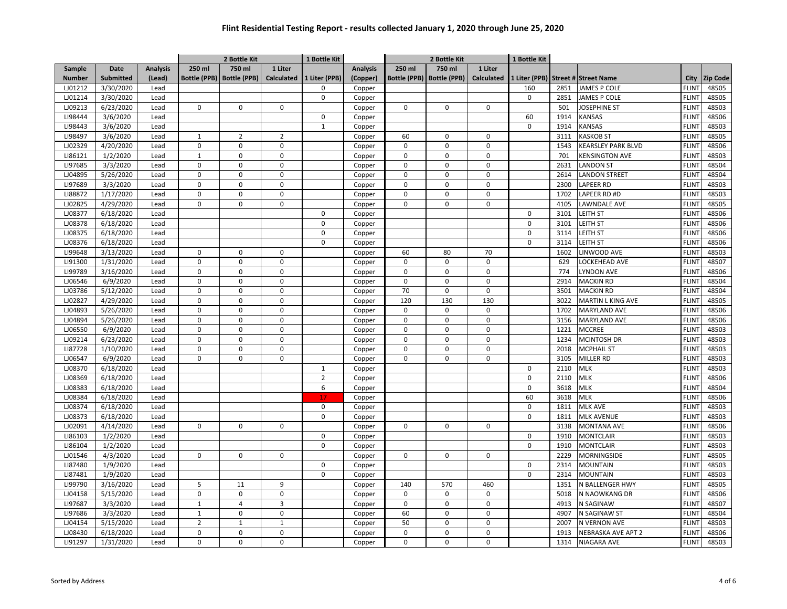| 750 ml<br>Date<br><b>Analysis</b><br>250 ml<br>750 ml<br>1 Liter<br>250 ml<br>Sample<br><b>Analysis</b><br>1 Liter<br><b>Submitted</b><br><b>Bottle (PPB)</b><br><b>Bottle (PPB)</b><br><b>Calculated</b><br>1 Liter (PPB)<br>(Copper)<br><b>Bottle (PPB)</b><br><b>Bottle (PPB)</b><br><b>Calculated</b><br>1 Liter (PPB)<br>City<br><b>Zip Code</b><br><b>Number</b><br>(Lead)<br><b>Street # Street Name</b><br><b>FLINT</b><br>48505<br>LJ01212<br>3/30/2020<br>160<br>2851<br>JAMES P COLE<br>Lead<br>$\Omega$<br>Copper<br>$\mathbf 0$<br>$\mathbf 0$<br><b>FLINT</b><br>48505<br>LJ01214<br>3/30/2020<br>Lead<br>2851<br>JAMES P COLE<br>Copper<br>LJ09213<br>6/23/2020<br>$\mathbf 0$<br>$\mathbf 0$<br>JOSEPHINE ST<br><b>FLINT</b><br>48503<br>$\mathbf 0$<br>$\Omega$<br>$\Omega$<br>$\mathbf 0$<br>501<br>Lead<br>Copper<br>LI98444<br>3/6/2020<br>60<br>1914<br><b>KANSAS</b><br><b>FLINT</b><br>48506<br>Lead<br>$\mathsf 0$<br>Copper<br>3/6/2020<br><b>KANSAS</b><br>LI98443<br>$\mathbf{1}$<br>$\mathbf 0$<br>1914<br><b>FLINT</b><br>48503<br>Lead<br>Copper<br>LI98497<br>3/6/2020<br>$\overline{2}$<br><b>KASKOB ST</b><br><b>FLINT</b><br>48505<br>Lead<br>$1\,$<br>$\overline{2}$<br>60<br>0<br>$\mathbf 0$<br>3111<br>Copper<br>LJ02329<br>4/20/2020<br>$\mathbf 0$<br>$\mathbf 0$<br>$\mathbf 0$<br>$\mathbf 0$<br>$\Omega$<br>$\mathbf 0$<br>1543<br><b>KEARSLEY PARK BLVD</b><br><b>FLINT</b><br>48506<br>Lead<br>Copper<br>1/2/2020<br>48503<br>LI86121<br>Lead<br>$\mathbf{1}$<br>$\pmb{0}$<br>$\pmb{0}$<br>701<br><b>KENSINGTON AVE</b><br><b>FLINT</b><br>$\mathbf 0$<br>$\mathbf 0$<br>$\Omega$<br>Copper<br>LI97685<br>$\Omega$<br>$\Omega$<br>48504<br>3/3/2020<br>$\mathbf 0$<br>$\Omega$<br>$\Omega$<br>$\Omega$<br>2631<br><b>LANDON ST</b><br><b>FLINT</b><br>Lead<br>Copper<br>LJ04895<br>5/26/2020<br>$\Omega$<br>$\Omega$<br>$\mathbf 0$<br>$\mathbf 0$<br>$\Omega$<br>LANDON STREET<br><b>FLINT</b><br>48504<br>Lead<br>0<br>2614<br>Copper<br>LI97689<br>3/3/2020<br>$\pmb{0}$<br>$\pmb{0}$<br>$\mathbf 0$<br>$\Omega$<br>$\Omega$<br>LAPEER RD<br>FLIN <sup>-</sup><br>48503<br>Lead<br>$\Omega$<br>2300<br>Copper<br>LI88872<br>1/17/2020<br>0<br>$\mathbf 0$<br>$\mathbf 0$<br>$\mathbf 0$<br>$\mathbf 0$<br>$\mathbf 0$<br>1702<br>LAPEER RD #D<br><b>FLINT</b><br>48503<br>Lead<br>Copper<br><b>FLINT</b><br>48505<br>LJ02825<br>4/29/2020<br>Lead<br>$\pmb{0}$<br>$\Omega$<br>$\mathbf 0$<br>$\Omega$<br>$\Omega$<br>$\Omega$<br>4105<br>LAWNDALE AVE<br>Copper<br>LJ08377<br>6/18/2020<br>$\mathbf 0$<br>3101<br>LEITH ST<br><b>FLINT</b><br>48506<br>Lead<br>$\Omega$<br>Copper<br>$\pmb{0}$<br>$\mathbf 0$<br>EITH ST<br><b>FLINT</b><br>48506<br>LJ08378<br>6/18/2020<br>Lead<br>3101<br>Copper<br>LJ08375<br>$\mathbf 0$<br>LEITH ST<br><b>FLINT</b><br>48506<br>6/18/2020<br>$\mathbf 0$<br>3114<br>Lead<br>Copper<br>LJ08376<br>$\mathbf 0$<br>LEITH ST<br>FLIN <sup>-</sup><br>48506<br>6/18/2020<br>Lead<br>$\Omega$<br>3114<br>Copper<br>LI99648<br>3/13/2020<br>$\mathbf 0$<br>$\pmb{0}$<br>60<br>70<br>LINWOOD AVE<br>FLIN <sup>-</sup><br>48503<br>Lead<br>0<br>80<br>1602<br>Copper<br>LI91300<br>1/31/2020<br>$\pmb{0}$<br>$\pmb{0}$<br>$\mathsf 0$<br><b>FLINT</b><br>48507<br>Lead<br>$\mathbf 0$<br>0<br>0<br>629<br>LOCKEHEAD AVE<br>Copper<br>LI99789<br>3/16/2020<br>$\mathbf 0$<br>$\pmb{0}$<br>$\mathsf 0$<br>$\mathsf 0$<br>774<br>LYNDON AVE<br>48506<br>Lead<br>0<br>$\mathbf 0$<br><b>FLINT</b><br>Copper<br>LJ06546<br>$\mathbf 0$<br><b>FLINT</b><br>48504<br>6/9/2020<br>Lead<br>$\pmb{0}$<br>$\mathsf 0$<br>0<br>0<br>$\mathbf 0$<br>2914<br><b>MACKIN RD</b><br>Copper<br>$\Omega$<br>70<br>$\Omega$<br>48504<br>LJ03786<br>5/12/2020<br>$\mathbf 0$<br>$\mathbf 0$<br>$\Omega$<br>3501<br><b>MACKIN RD</b><br><b>FLINT</b><br>Lead<br>Copper<br>LJ02827<br>4/29/2020<br>$\Omega$<br>$\mathbf 0$<br>$\mathbf 0$<br>120<br>130<br>130<br><b>FLINT</b><br>48505<br>Lead<br>3022<br><b>MARTIN L KING AVE</b><br>Copper<br>$\mathbf 0$<br>LJ04893<br>5/26/2020<br>$\mathbf 0$<br>$\mathbf 0$<br>$\mathbf 0$<br>$\Omega$<br>$\mathbf 0$<br><b>MARYLAND AVE</b><br><b>FLINT</b><br>48506<br>Lead<br>1702<br>Copper<br>LJ04894<br>5/26/2020<br>$\mathbf 0$<br>$\mathbf 0$<br>$\mathbf 0$<br>$\mathbf 0$<br>$\Omega$<br>3156<br><b>MARYLAND AVE</b><br><b>FLINT</b><br>48506<br>Lead<br>$\Omega$<br>Copper<br>$\mathbf 0$<br>LJ06550<br>6/9/2020<br>Lead<br>$\mathbf 0$<br>$\mathbf 0$<br>$\mathbf 0$<br>$\mathbf 0$<br>$\mathbf 0$<br>1221<br><b>MCCREE</b><br><b>FLINT</b><br>48503<br>Copper<br>LJ09214<br>6/23/2020<br>$\pmb{0}$<br>$\pmb{0}$<br>$\mathbf 0$<br>1234<br><b>MCINTOSH DR</b><br><b>FLINT</b><br>48503<br>Lead<br>$\mathbf 0$<br>$\mathbf 0$<br>$\mathbf 0$<br>Copper<br>$\mathbf 0$<br>$\pmb{0}$<br>$\pmb{0}$<br>LI87728<br>1/10/2020<br>Lead<br>0<br>$\mathbf 0$<br>$\mathsf 0$<br>2018<br><b>MCPHAIL ST</b><br><b>FLINT</b><br>48503<br>Copper<br>$\mathbf 0$<br>$\pmb{0}$<br>$\mathbf 0$<br><b>FLINT</b><br>48503<br>LJ06547<br>6/9/2020<br>Lead<br>$\mathbf 0$<br>$\mathbf 0$<br>0<br>3105<br>MILLER RD<br>Copper<br>LJ08370<br>6/18/2020<br>$\mathbf 0$<br>2110<br><b>MLK</b><br><b>FLINT</b><br>48503<br>Lead<br>$\mathbf{1}$<br>Copper<br>LJ08369<br>6/18/2020<br>$\overline{2}$<br>$\mathbf 0$<br><b>MLK</b><br>48506<br>2110<br>FLIN <sup>-</sup><br>Lead<br>Copper<br>LJ08383<br>$\mathbf 0$<br>6/18/2020<br>6<br>3618<br><b>MLK</b><br><b>FLINT</b><br>48504<br>Lead<br>Copper<br>LJ08384<br>6/18/2020<br>60<br><b>MLK</b><br>48506<br>Lead<br>3618<br><b>FLINT</b><br>Copper<br>17<br>LJ08374<br>6/18/2020<br>$\Omega$<br>$\mathbf 0$<br>1811<br><b>MLK AVE</b><br><b>FLINT</b><br>48503<br>Lead<br>Copper<br>48503<br>LJ08373<br>6/18/2020<br>$\Omega$<br>$\mathbf 0$<br><b>MLK AVENUE</b><br><b>FLINT</b><br>Lead<br>1811<br>Copper<br>LJ02091<br><b>FLINT</b><br>48506<br>4/14/2020<br>Lead<br>$\Omega$<br>$\mathbf 0$<br>$\mathbf 0$<br>$\Omega$<br>$\Omega$<br>3138<br><b>MONTANA AVE</b><br>Copper<br>$\Omega$<br>LI86103<br>1/2/2020<br>$\mathbf 0$<br><b>MONTCLAIR</b><br><b>FLINT</b><br>48503<br>Lead<br>$\mathbf 0$<br>1910<br>Copper<br>LI86104<br>1/2/2020<br>0<br><b>MONTCLAIR</b><br>FLIN <sup>-</sup><br>48503<br>$\Omega$<br>1910<br>Lead<br>Copper<br>LJ01546<br>4/3/2020<br>$\mathbf 0$<br>$\mathbf 0$<br>$\mathbf 0$<br>$\mathbf 0$<br>2229<br>MORNINGSIDE<br><b>FLINT</b><br>48505<br>Lead<br>0<br>$\mathbf 0$<br>Copper<br>LI87480<br>1/9/2020<br><b>FLINT</b><br>48503<br>Lead<br>$\Omega$<br>$\mathbf 0$<br>2314<br><b>MOUNTAIN</b><br>Copper<br>$\mathbf 0$<br>LI87481<br>1/9/2020<br>Lead<br>$\Omega$<br>2314<br><b>MOUNTAIN</b><br><b>FLINT</b><br>48503<br>Copper<br><b>FLINT</b><br>48505<br>LI99790<br>3/16/2020<br>5<br>11<br>9<br>140<br>570<br>460<br>1351<br>N BALLENGER HWY<br>Lead<br>Copper<br>$\mathbf 0$<br>$\mathbf 0$<br>$\pmb{0}$<br>$\mathbf 0$<br><b>FLINT</b><br>48506<br>LJ04158<br>5/15/2020<br>Lead<br>$\mathbf 0$<br>0<br>5018<br>N NAOWKANG DR<br>Copper<br>LI97687<br>3/3/2020<br>$1\,$<br>$\overline{4}$<br>3<br>$\mathsf 0$<br>$\Omega$<br>0<br>N SAGINAW<br><b>FLINT</b><br>48507<br>Lead<br>4913<br>Copper<br>LI97686<br>3/3/2020<br>$\mathbf{1}$<br>$\pmb{0}$<br>0<br>60<br>$\mathbf 0$<br>$\mathbf 0$<br>N SAGINAW ST<br>FLIN <sup>-</sup><br>48504<br>Lead<br>4907<br>Copper<br>LJ04154<br>5/15/2020<br>$\overline{2}$<br>$\mathbf 1$<br>$\mathbf{1}$<br>50<br>$\mathsf 0$<br>$\mathsf 0$<br>2007<br>N VERNON AVE<br><b>FLINT</b><br>48503<br>Lead<br>Copper<br>LJ08430<br>6/18/2020<br>$\mathbf 0$<br>$\mathbf 0$<br>0<br>$\mathbf 0$<br>$\mathbf 0$<br>1913<br>NEBRASKA AVE APT 2<br><b>FLINT</b><br>48506<br>Lead<br>$\mathbf 0$<br>Copper<br>$\mathbf 0$<br><b>FLINT</b><br>48503<br>LI91297<br>1/31/2020<br>$\mathbf 0$<br>$\mathbf 0$<br>$\mathbf 0$<br>$\mathbf 0$<br>1314<br><b>NIAGARA AVE</b><br>Lead<br>Copper<br>$\mathbf 0$ |  |  | 2 Bottle Kit | 1 Bottle Kit |  | 2 Bottle Kit | 1 Bottle Kit |  |  |
|----------------------------------------------------------------------------------------------------------------------------------------------------------------------------------------------------------------------------------------------------------------------------------------------------------------------------------------------------------------------------------------------------------------------------------------------------------------------------------------------------------------------------------------------------------------------------------------------------------------------------------------------------------------------------------------------------------------------------------------------------------------------------------------------------------------------------------------------------------------------------------------------------------------------------------------------------------------------------------------------------------------------------------------------------------------------------------------------------------------------------------------------------------------------------------------------------------------------------------------------------------------------------------------------------------------------------------------------------------------------------------------------------------------------------------------------------------------------------------------------------------------------------------------------------------------------------------------------------------------------------------------------------------------------------------------------------------------------------------------------------------------------------------------------------------------------------------------------------------------------------------------------------------------------------------------------------------------------------------------------------------------------------------------------------------------------------------------------------------------------------------------------------------------------------------------------------------------------------------------------------------------------------------------------------------------------------------------------------------------------------------------------------------------------------------------------------------------------------------------------------------------------------------------------------------------------------------------------------------------------------------------------------------------------------------------------------------------------------------------------------------------------------------------------------------------------------------------------------------------------------------------------------------------------------------------------------------------------------------------------------------------------------------------------------------------------------------------------------------------------------------------------------------------------------------------------------------------------------------------------------------------------------------------------------------------------------------------------------------------------------------------------------------------------------------------------------------------------------------------------------------------------------------------------------------------------------------------------------------------------------------------------------------------------------------------------------------------------------------------------------------------------------------------------------------------------------------------------------------------------------------------------------------------------------------------------------------------------------------------------------------------------------------------------------------------------------------------------------------------------------------------------------------------------------------------------------------------------------------------------------------------------------------------------------------------------------------------------------------------------------------------------------------------------------------------------------------------------------------------------------------------------------------------------------------------------------------------------------------------------------------------------------------------------------------------------------------------------------------------------------------------------------------------------------------------------------------------------------------------------------------------------------------------------------------------------------------------------------------------------------------------------------------------------------------------------------------------------------------------------------------------------------------------------------------------------------------------------------------------------------------------------------------------------------------------------------------------------------------------------------------------------------------------------------------------------------------------------------------------------------------------------------------------------------------------------------------------------------------------------------------------------------------------------------------------------------------------------------------------------------------------------------------------------------------------------------------------------------------------------------------------------------------------------------------------------------------------------------------------------------------------------------------------------------------------------------------------------------------------------------------------------------------------------------------------------------------------------------------------------------------------------------------------------------------------------------------------------------------------------------------------------------------------------------------------------------------------------------------------------------------------------------------------------------------------------------------------------------------------------------------------------------------------------------------------------------------------------------------------------------------------------------------------------------------------------------------------------------------------------------------------------------------------------------------------------------------------------------------------------------------------------------------------------------------------------------------------------------------------------------------------------------------------------------------------------------------------------------------------------------------------------------------------------------------------------------------------------------------------------------------------------------------------------------------------------------------------------------------------------------------------------------------------------------------------------------------------------------------------------------------------------------------------------------------------------------------------------------------------------------------------------------------------------------------------------------------------------------------------------------------------------------------|--|--|--------------|--------------|--|--------------|--------------|--|--|
|                                                                                                                                                                                                                                                                                                                                                                                                                                                                                                                                                                                                                                                                                                                                                                                                                                                                                                                                                                                                                                                                                                                                                                                                                                                                                                                                                                                                                                                                                                                                                                                                                                                                                                                                                                                                                                                                                                                                                                                                                                                                                                                                                                                                                                                                                                                                                                                                                                                                                                                                                                                                                                                                                                                                                                                                                                                                                                                                                                                                                                                                                                                                                                                                                                                                                                                                                                                                                                                                                                                                                                                                                                                                                                                                                                                                                                                                                                                                                                                                                                                                                                                                                                                                                                                                                                                                                                                                                                                                                                                                                                                                                                                                                                                                                                                                                                                                                                                                                                                                                                                                                                                                                                                                                                                                                                                                                                                                                                                                                                                                                                                                                                                                                                                                                                                                                                                                                                                                                                                                                                                                                                                                                                                                                                                                                                                                                                                                                                                                                                                                                                                                                                                                                                                                                                                                                                                                                                                                                                                                                                                                                                                                                                                                                                                                                                                                                                                                                                                                                                                                                                                                                                                                                                                                                                                                                                                                                                          |  |  |              |              |  |              |              |  |  |
|                                                                                                                                                                                                                                                                                                                                                                                                                                                                                                                                                                                                                                                                                                                                                                                                                                                                                                                                                                                                                                                                                                                                                                                                                                                                                                                                                                                                                                                                                                                                                                                                                                                                                                                                                                                                                                                                                                                                                                                                                                                                                                                                                                                                                                                                                                                                                                                                                                                                                                                                                                                                                                                                                                                                                                                                                                                                                                                                                                                                                                                                                                                                                                                                                                                                                                                                                                                                                                                                                                                                                                                                                                                                                                                                                                                                                                                                                                                                                                                                                                                                                                                                                                                                                                                                                                                                                                                                                                                                                                                                                                                                                                                                                                                                                                                                                                                                                                                                                                                                                                                                                                                                                                                                                                                                                                                                                                                                                                                                                                                                                                                                                                                                                                                                                                                                                                                                                                                                                                                                                                                                                                                                                                                                                                                                                                                                                                                                                                                                                                                                                                                                                                                                                                                                                                                                                                                                                                                                                                                                                                                                                                                                                                                                                                                                                                                                                                                                                                                                                                                                                                                                                                                                                                                                                                                                                                                                                                          |  |  |              |              |  |              |              |  |  |
|                                                                                                                                                                                                                                                                                                                                                                                                                                                                                                                                                                                                                                                                                                                                                                                                                                                                                                                                                                                                                                                                                                                                                                                                                                                                                                                                                                                                                                                                                                                                                                                                                                                                                                                                                                                                                                                                                                                                                                                                                                                                                                                                                                                                                                                                                                                                                                                                                                                                                                                                                                                                                                                                                                                                                                                                                                                                                                                                                                                                                                                                                                                                                                                                                                                                                                                                                                                                                                                                                                                                                                                                                                                                                                                                                                                                                                                                                                                                                                                                                                                                                                                                                                                                                                                                                                                                                                                                                                                                                                                                                                                                                                                                                                                                                                                                                                                                                                                                                                                                                                                                                                                                                                                                                                                                                                                                                                                                                                                                                                                                                                                                                                                                                                                                                                                                                                                                                                                                                                                                                                                                                                                                                                                                                                                                                                                                                                                                                                                                                                                                                                                                                                                                                                                                                                                                                                                                                                                                                                                                                                                                                                                                                                                                                                                                                                                                                                                                                                                                                                                                                                                                                                                                                                                                                                                                                                                                                                          |  |  |              |              |  |              |              |  |  |
|                                                                                                                                                                                                                                                                                                                                                                                                                                                                                                                                                                                                                                                                                                                                                                                                                                                                                                                                                                                                                                                                                                                                                                                                                                                                                                                                                                                                                                                                                                                                                                                                                                                                                                                                                                                                                                                                                                                                                                                                                                                                                                                                                                                                                                                                                                                                                                                                                                                                                                                                                                                                                                                                                                                                                                                                                                                                                                                                                                                                                                                                                                                                                                                                                                                                                                                                                                                                                                                                                                                                                                                                                                                                                                                                                                                                                                                                                                                                                                                                                                                                                                                                                                                                                                                                                                                                                                                                                                                                                                                                                                                                                                                                                                                                                                                                                                                                                                                                                                                                                                                                                                                                                                                                                                                                                                                                                                                                                                                                                                                                                                                                                                                                                                                                                                                                                                                                                                                                                                                                                                                                                                                                                                                                                                                                                                                                                                                                                                                                                                                                                                                                                                                                                                                                                                                                                                                                                                                                                                                                                                                                                                                                                                                                                                                                                                                                                                                                                                                                                                                                                                                                                                                                                                                                                                                                                                                                                                          |  |  |              |              |  |              |              |  |  |
|                                                                                                                                                                                                                                                                                                                                                                                                                                                                                                                                                                                                                                                                                                                                                                                                                                                                                                                                                                                                                                                                                                                                                                                                                                                                                                                                                                                                                                                                                                                                                                                                                                                                                                                                                                                                                                                                                                                                                                                                                                                                                                                                                                                                                                                                                                                                                                                                                                                                                                                                                                                                                                                                                                                                                                                                                                                                                                                                                                                                                                                                                                                                                                                                                                                                                                                                                                                                                                                                                                                                                                                                                                                                                                                                                                                                                                                                                                                                                                                                                                                                                                                                                                                                                                                                                                                                                                                                                                                                                                                                                                                                                                                                                                                                                                                                                                                                                                                                                                                                                                                                                                                                                                                                                                                                                                                                                                                                                                                                                                                                                                                                                                                                                                                                                                                                                                                                                                                                                                                                                                                                                                                                                                                                                                                                                                                                                                                                                                                                                                                                                                                                                                                                                                                                                                                                                                                                                                                                                                                                                                                                                                                                                                                                                                                                                                                                                                                                                                                                                                                                                                                                                                                                                                                                                                                                                                                                                                          |  |  |              |              |  |              |              |  |  |
|                                                                                                                                                                                                                                                                                                                                                                                                                                                                                                                                                                                                                                                                                                                                                                                                                                                                                                                                                                                                                                                                                                                                                                                                                                                                                                                                                                                                                                                                                                                                                                                                                                                                                                                                                                                                                                                                                                                                                                                                                                                                                                                                                                                                                                                                                                                                                                                                                                                                                                                                                                                                                                                                                                                                                                                                                                                                                                                                                                                                                                                                                                                                                                                                                                                                                                                                                                                                                                                                                                                                                                                                                                                                                                                                                                                                                                                                                                                                                                                                                                                                                                                                                                                                                                                                                                                                                                                                                                                                                                                                                                                                                                                                                                                                                                                                                                                                                                                                                                                                                                                                                                                                                                                                                                                                                                                                                                                                                                                                                                                                                                                                                                                                                                                                                                                                                                                                                                                                                                                                                                                                                                                                                                                                                                                                                                                                                                                                                                                                                                                                                                                                                                                                                                                                                                                                                                                                                                                                                                                                                                                                                                                                                                                                                                                                                                                                                                                                                                                                                                                                                                                                                                                                                                                                                                                                                                                                                                          |  |  |              |              |  |              |              |  |  |
|                                                                                                                                                                                                                                                                                                                                                                                                                                                                                                                                                                                                                                                                                                                                                                                                                                                                                                                                                                                                                                                                                                                                                                                                                                                                                                                                                                                                                                                                                                                                                                                                                                                                                                                                                                                                                                                                                                                                                                                                                                                                                                                                                                                                                                                                                                                                                                                                                                                                                                                                                                                                                                                                                                                                                                                                                                                                                                                                                                                                                                                                                                                                                                                                                                                                                                                                                                                                                                                                                                                                                                                                                                                                                                                                                                                                                                                                                                                                                                                                                                                                                                                                                                                                                                                                                                                                                                                                                                                                                                                                                                                                                                                                                                                                                                                                                                                                                                                                                                                                                                                                                                                                                                                                                                                                                                                                                                                                                                                                                                                                                                                                                                                                                                                                                                                                                                                                                                                                                                                                                                                                                                                                                                                                                                                                                                                                                                                                                                                                                                                                                                                                                                                                                                                                                                                                                                                                                                                                                                                                                                                                                                                                                                                                                                                                                                                                                                                                                                                                                                                                                                                                                                                                                                                                                                                                                                                                                                          |  |  |              |              |  |              |              |  |  |
|                                                                                                                                                                                                                                                                                                                                                                                                                                                                                                                                                                                                                                                                                                                                                                                                                                                                                                                                                                                                                                                                                                                                                                                                                                                                                                                                                                                                                                                                                                                                                                                                                                                                                                                                                                                                                                                                                                                                                                                                                                                                                                                                                                                                                                                                                                                                                                                                                                                                                                                                                                                                                                                                                                                                                                                                                                                                                                                                                                                                                                                                                                                                                                                                                                                                                                                                                                                                                                                                                                                                                                                                                                                                                                                                                                                                                                                                                                                                                                                                                                                                                                                                                                                                                                                                                                                                                                                                                                                                                                                                                                                                                                                                                                                                                                                                                                                                                                                                                                                                                                                                                                                                                                                                                                                                                                                                                                                                                                                                                                                                                                                                                                                                                                                                                                                                                                                                                                                                                                                                                                                                                                                                                                                                                                                                                                                                                                                                                                                                                                                                                                                                                                                                                                                                                                                                                                                                                                                                                                                                                                                                                                                                                                                                                                                                                                                                                                                                                                                                                                                                                                                                                                                                                                                                                                                                                                                                                                          |  |  |              |              |  |              |              |  |  |
|                                                                                                                                                                                                                                                                                                                                                                                                                                                                                                                                                                                                                                                                                                                                                                                                                                                                                                                                                                                                                                                                                                                                                                                                                                                                                                                                                                                                                                                                                                                                                                                                                                                                                                                                                                                                                                                                                                                                                                                                                                                                                                                                                                                                                                                                                                                                                                                                                                                                                                                                                                                                                                                                                                                                                                                                                                                                                                                                                                                                                                                                                                                                                                                                                                                                                                                                                                                                                                                                                                                                                                                                                                                                                                                                                                                                                                                                                                                                                                                                                                                                                                                                                                                                                                                                                                                                                                                                                                                                                                                                                                                                                                                                                                                                                                                                                                                                                                                                                                                                                                                                                                                                                                                                                                                                                                                                                                                                                                                                                                                                                                                                                                                                                                                                                                                                                                                                                                                                                                                                                                                                                                                                                                                                                                                                                                                                                                                                                                                                                                                                                                                                                                                                                                                                                                                                                                                                                                                                                                                                                                                                                                                                                                                                                                                                                                                                                                                                                                                                                                                                                                                                                                                                                                                                                                                                                                                                                                          |  |  |              |              |  |              |              |  |  |
|                                                                                                                                                                                                                                                                                                                                                                                                                                                                                                                                                                                                                                                                                                                                                                                                                                                                                                                                                                                                                                                                                                                                                                                                                                                                                                                                                                                                                                                                                                                                                                                                                                                                                                                                                                                                                                                                                                                                                                                                                                                                                                                                                                                                                                                                                                                                                                                                                                                                                                                                                                                                                                                                                                                                                                                                                                                                                                                                                                                                                                                                                                                                                                                                                                                                                                                                                                                                                                                                                                                                                                                                                                                                                                                                                                                                                                                                                                                                                                                                                                                                                                                                                                                                                                                                                                                                                                                                                                                                                                                                                                                                                                                                                                                                                                                                                                                                                                                                                                                                                                                                                                                                                                                                                                                                                                                                                                                                                                                                                                                                                                                                                                                                                                                                                                                                                                                                                                                                                                                                                                                                                                                                                                                                                                                                                                                                                                                                                                                                                                                                                                                                                                                                                                                                                                                                                                                                                                                                                                                                                                                                                                                                                                                                                                                                                                                                                                                                                                                                                                                                                                                                                                                                                                                                                                                                                                                                                                          |  |  |              |              |  |              |              |  |  |
|                                                                                                                                                                                                                                                                                                                                                                                                                                                                                                                                                                                                                                                                                                                                                                                                                                                                                                                                                                                                                                                                                                                                                                                                                                                                                                                                                                                                                                                                                                                                                                                                                                                                                                                                                                                                                                                                                                                                                                                                                                                                                                                                                                                                                                                                                                                                                                                                                                                                                                                                                                                                                                                                                                                                                                                                                                                                                                                                                                                                                                                                                                                                                                                                                                                                                                                                                                                                                                                                                                                                                                                                                                                                                                                                                                                                                                                                                                                                                                                                                                                                                                                                                                                                                                                                                                                                                                                                                                                                                                                                                                                                                                                                                                                                                                                                                                                                                                                                                                                                                                                                                                                                                                                                                                                                                                                                                                                                                                                                                                                                                                                                                                                                                                                                                                                                                                                                                                                                                                                                                                                                                                                                                                                                                                                                                                                                                                                                                                                                                                                                                                                                                                                                                                                                                                                                                                                                                                                                                                                                                                                                                                                                                                                                                                                                                                                                                                                                                                                                                                                                                                                                                                                                                                                                                                                                                                                                                                          |  |  |              |              |  |              |              |  |  |
|                                                                                                                                                                                                                                                                                                                                                                                                                                                                                                                                                                                                                                                                                                                                                                                                                                                                                                                                                                                                                                                                                                                                                                                                                                                                                                                                                                                                                                                                                                                                                                                                                                                                                                                                                                                                                                                                                                                                                                                                                                                                                                                                                                                                                                                                                                                                                                                                                                                                                                                                                                                                                                                                                                                                                                                                                                                                                                                                                                                                                                                                                                                                                                                                                                                                                                                                                                                                                                                                                                                                                                                                                                                                                                                                                                                                                                                                                                                                                                                                                                                                                                                                                                                                                                                                                                                                                                                                                                                                                                                                                                                                                                                                                                                                                                                                                                                                                                                                                                                                                                                                                                                                                                                                                                                                                                                                                                                                                                                                                                                                                                                                                                                                                                                                                                                                                                                                                                                                                                                                                                                                                                                                                                                                                                                                                                                                                                                                                                                                                                                                                                                                                                                                                                                                                                                                                                                                                                                                                                                                                                                                                                                                                                                                                                                                                                                                                                                                                                                                                                                                                                                                                                                                                                                                                                                                                                                                                                          |  |  |              |              |  |              |              |  |  |
|                                                                                                                                                                                                                                                                                                                                                                                                                                                                                                                                                                                                                                                                                                                                                                                                                                                                                                                                                                                                                                                                                                                                                                                                                                                                                                                                                                                                                                                                                                                                                                                                                                                                                                                                                                                                                                                                                                                                                                                                                                                                                                                                                                                                                                                                                                                                                                                                                                                                                                                                                                                                                                                                                                                                                                                                                                                                                                                                                                                                                                                                                                                                                                                                                                                                                                                                                                                                                                                                                                                                                                                                                                                                                                                                                                                                                                                                                                                                                                                                                                                                                                                                                                                                                                                                                                                                                                                                                                                                                                                                                                                                                                                                                                                                                                                                                                                                                                                                                                                                                                                                                                                                                                                                                                                                                                                                                                                                                                                                                                                                                                                                                                                                                                                                                                                                                                                                                                                                                                                                                                                                                                                                                                                                                                                                                                                                                                                                                                                                                                                                                                                                                                                                                                                                                                                                                                                                                                                                                                                                                                                                                                                                                                                                                                                                                                                                                                                                                                                                                                                                                                                                                                                                                                                                                                                                                                                                                                          |  |  |              |              |  |              |              |  |  |
|                                                                                                                                                                                                                                                                                                                                                                                                                                                                                                                                                                                                                                                                                                                                                                                                                                                                                                                                                                                                                                                                                                                                                                                                                                                                                                                                                                                                                                                                                                                                                                                                                                                                                                                                                                                                                                                                                                                                                                                                                                                                                                                                                                                                                                                                                                                                                                                                                                                                                                                                                                                                                                                                                                                                                                                                                                                                                                                                                                                                                                                                                                                                                                                                                                                                                                                                                                                                                                                                                                                                                                                                                                                                                                                                                                                                                                                                                                                                                                                                                                                                                                                                                                                                                                                                                                                                                                                                                                                                                                                                                                                                                                                                                                                                                                                                                                                                                                                                                                                                                                                                                                                                                                                                                                                                                                                                                                                                                                                                                                                                                                                                                                                                                                                                                                                                                                                                                                                                                                                                                                                                                                                                                                                                                                                                                                                                                                                                                                                                                                                                                                                                                                                                                                                                                                                                                                                                                                                                                                                                                                                                                                                                                                                                                                                                                                                                                                                                                                                                                                                                                                                                                                                                                                                                                                                                                                                                                                          |  |  |              |              |  |              |              |  |  |
|                                                                                                                                                                                                                                                                                                                                                                                                                                                                                                                                                                                                                                                                                                                                                                                                                                                                                                                                                                                                                                                                                                                                                                                                                                                                                                                                                                                                                                                                                                                                                                                                                                                                                                                                                                                                                                                                                                                                                                                                                                                                                                                                                                                                                                                                                                                                                                                                                                                                                                                                                                                                                                                                                                                                                                                                                                                                                                                                                                                                                                                                                                                                                                                                                                                                                                                                                                                                                                                                                                                                                                                                                                                                                                                                                                                                                                                                                                                                                                                                                                                                                                                                                                                                                                                                                                                                                                                                                                                                                                                                                                                                                                                                                                                                                                                                                                                                                                                                                                                                                                                                                                                                                                                                                                                                                                                                                                                                                                                                                                                                                                                                                                                                                                                                                                                                                                                                                                                                                                                                                                                                                                                                                                                                                                                                                                                                                                                                                                                                                                                                                                                                                                                                                                                                                                                                                                                                                                                                                                                                                                                                                                                                                                                                                                                                                                                                                                                                                                                                                                                                                                                                                                                                                                                                                                                                                                                                                                          |  |  |              |              |  |              |              |  |  |
|                                                                                                                                                                                                                                                                                                                                                                                                                                                                                                                                                                                                                                                                                                                                                                                                                                                                                                                                                                                                                                                                                                                                                                                                                                                                                                                                                                                                                                                                                                                                                                                                                                                                                                                                                                                                                                                                                                                                                                                                                                                                                                                                                                                                                                                                                                                                                                                                                                                                                                                                                                                                                                                                                                                                                                                                                                                                                                                                                                                                                                                                                                                                                                                                                                                                                                                                                                                                                                                                                                                                                                                                                                                                                                                                                                                                                                                                                                                                                                                                                                                                                                                                                                                                                                                                                                                                                                                                                                                                                                                                                                                                                                                                                                                                                                                                                                                                                                                                                                                                                                                                                                                                                                                                                                                                                                                                                                                                                                                                                                                                                                                                                                                                                                                                                                                                                                                                                                                                                                                                                                                                                                                                                                                                                                                                                                                                                                                                                                                                                                                                                                                                                                                                                                                                                                                                                                                                                                                                                                                                                                                                                                                                                                                                                                                                                                                                                                                                                                                                                                                                                                                                                                                                                                                                                                                                                                                                                                          |  |  |              |              |  |              |              |  |  |
|                                                                                                                                                                                                                                                                                                                                                                                                                                                                                                                                                                                                                                                                                                                                                                                                                                                                                                                                                                                                                                                                                                                                                                                                                                                                                                                                                                                                                                                                                                                                                                                                                                                                                                                                                                                                                                                                                                                                                                                                                                                                                                                                                                                                                                                                                                                                                                                                                                                                                                                                                                                                                                                                                                                                                                                                                                                                                                                                                                                                                                                                                                                                                                                                                                                                                                                                                                                                                                                                                                                                                                                                                                                                                                                                                                                                                                                                                                                                                                                                                                                                                                                                                                                                                                                                                                                                                                                                                                                                                                                                                                                                                                                                                                                                                                                                                                                                                                                                                                                                                                                                                                                                                                                                                                                                                                                                                                                                                                                                                                                                                                                                                                                                                                                                                                                                                                                                                                                                                                                                                                                                                                                                                                                                                                                                                                                                                                                                                                                                                                                                                                                                                                                                                                                                                                                                                                                                                                                                                                                                                                                                                                                                                                                                                                                                                                                                                                                                                                                                                                                                                                                                                                                                                                                                                                                                                                                                                                          |  |  |              |              |  |              |              |  |  |
|                                                                                                                                                                                                                                                                                                                                                                                                                                                                                                                                                                                                                                                                                                                                                                                                                                                                                                                                                                                                                                                                                                                                                                                                                                                                                                                                                                                                                                                                                                                                                                                                                                                                                                                                                                                                                                                                                                                                                                                                                                                                                                                                                                                                                                                                                                                                                                                                                                                                                                                                                                                                                                                                                                                                                                                                                                                                                                                                                                                                                                                                                                                                                                                                                                                                                                                                                                                                                                                                                                                                                                                                                                                                                                                                                                                                                                                                                                                                                                                                                                                                                                                                                                                                                                                                                                                                                                                                                                                                                                                                                                                                                                                                                                                                                                                                                                                                                                                                                                                                                                                                                                                                                                                                                                                                                                                                                                                                                                                                                                                                                                                                                                                                                                                                                                                                                                                                                                                                                                                                                                                                                                                                                                                                                                                                                                                                                                                                                                                                                                                                                                                                                                                                                                                                                                                                                                                                                                                                                                                                                                                                                                                                                                                                                                                                                                                                                                                                                                                                                                                                                                                                                                                                                                                                                                                                                                                                                                          |  |  |              |              |  |              |              |  |  |
|                                                                                                                                                                                                                                                                                                                                                                                                                                                                                                                                                                                                                                                                                                                                                                                                                                                                                                                                                                                                                                                                                                                                                                                                                                                                                                                                                                                                                                                                                                                                                                                                                                                                                                                                                                                                                                                                                                                                                                                                                                                                                                                                                                                                                                                                                                                                                                                                                                                                                                                                                                                                                                                                                                                                                                                                                                                                                                                                                                                                                                                                                                                                                                                                                                                                                                                                                                                                                                                                                                                                                                                                                                                                                                                                                                                                                                                                                                                                                                                                                                                                                                                                                                                                                                                                                                                                                                                                                                                                                                                                                                                                                                                                                                                                                                                                                                                                                                                                                                                                                                                                                                                                                                                                                                                                                                                                                                                                                                                                                                                                                                                                                                                                                                                                                                                                                                                                                                                                                                                                                                                                                                                                                                                                                                                                                                                                                                                                                                                                                                                                                                                                                                                                                                                                                                                                                                                                                                                                                                                                                                                                                                                                                                                                                                                                                                                                                                                                                                                                                                                                                                                                                                                                                                                                                                                                                                                                                                          |  |  |              |              |  |              |              |  |  |
|                                                                                                                                                                                                                                                                                                                                                                                                                                                                                                                                                                                                                                                                                                                                                                                                                                                                                                                                                                                                                                                                                                                                                                                                                                                                                                                                                                                                                                                                                                                                                                                                                                                                                                                                                                                                                                                                                                                                                                                                                                                                                                                                                                                                                                                                                                                                                                                                                                                                                                                                                                                                                                                                                                                                                                                                                                                                                                                                                                                                                                                                                                                                                                                                                                                                                                                                                                                                                                                                                                                                                                                                                                                                                                                                                                                                                                                                                                                                                                                                                                                                                                                                                                                                                                                                                                                                                                                                                                                                                                                                                                                                                                                                                                                                                                                                                                                                                                                                                                                                                                                                                                                                                                                                                                                                                                                                                                                                                                                                                                                                                                                                                                                                                                                                                                                                                                                                                                                                                                                                                                                                                                                                                                                                                                                                                                                                                                                                                                                                                                                                                                                                                                                                                                                                                                                                                                                                                                                                                                                                                                                                                                                                                                                                                                                                                                                                                                                                                                                                                                                                                                                                                                                                                                                                                                                                                                                                                                          |  |  |              |              |  |              |              |  |  |
|                                                                                                                                                                                                                                                                                                                                                                                                                                                                                                                                                                                                                                                                                                                                                                                                                                                                                                                                                                                                                                                                                                                                                                                                                                                                                                                                                                                                                                                                                                                                                                                                                                                                                                                                                                                                                                                                                                                                                                                                                                                                                                                                                                                                                                                                                                                                                                                                                                                                                                                                                                                                                                                                                                                                                                                                                                                                                                                                                                                                                                                                                                                                                                                                                                                                                                                                                                                                                                                                                                                                                                                                                                                                                                                                                                                                                                                                                                                                                                                                                                                                                                                                                                                                                                                                                                                                                                                                                                                                                                                                                                                                                                                                                                                                                                                                                                                                                                                                                                                                                                                                                                                                                                                                                                                                                                                                                                                                                                                                                                                                                                                                                                                                                                                                                                                                                                                                                                                                                                                                                                                                                                                                                                                                                                                                                                                                                                                                                                                                                                                                                                                                                                                                                                                                                                                                                                                                                                                                                                                                                                                                                                                                                                                                                                                                                                                                                                                                                                                                                                                                                                                                                                                                                                                                                                                                                                                                                                          |  |  |              |              |  |              |              |  |  |
|                                                                                                                                                                                                                                                                                                                                                                                                                                                                                                                                                                                                                                                                                                                                                                                                                                                                                                                                                                                                                                                                                                                                                                                                                                                                                                                                                                                                                                                                                                                                                                                                                                                                                                                                                                                                                                                                                                                                                                                                                                                                                                                                                                                                                                                                                                                                                                                                                                                                                                                                                                                                                                                                                                                                                                                                                                                                                                                                                                                                                                                                                                                                                                                                                                                                                                                                                                                                                                                                                                                                                                                                                                                                                                                                                                                                                                                                                                                                                                                                                                                                                                                                                                                                                                                                                                                                                                                                                                                                                                                                                                                                                                                                                                                                                                                                                                                                                                                                                                                                                                                                                                                                                                                                                                                                                                                                                                                                                                                                                                                                                                                                                                                                                                                                                                                                                                                                                                                                                                                                                                                                                                                                                                                                                                                                                                                                                                                                                                                                                                                                                                                                                                                                                                                                                                                                                                                                                                                                                                                                                                                                                                                                                                                                                                                                                                                                                                                                                                                                                                                                                                                                                                                                                                                                                                                                                                                                                                          |  |  |              |              |  |              |              |  |  |
|                                                                                                                                                                                                                                                                                                                                                                                                                                                                                                                                                                                                                                                                                                                                                                                                                                                                                                                                                                                                                                                                                                                                                                                                                                                                                                                                                                                                                                                                                                                                                                                                                                                                                                                                                                                                                                                                                                                                                                                                                                                                                                                                                                                                                                                                                                                                                                                                                                                                                                                                                                                                                                                                                                                                                                                                                                                                                                                                                                                                                                                                                                                                                                                                                                                                                                                                                                                                                                                                                                                                                                                                                                                                                                                                                                                                                                                                                                                                                                                                                                                                                                                                                                                                                                                                                                                                                                                                                                                                                                                                                                                                                                                                                                                                                                                                                                                                                                                                                                                                                                                                                                                                                                                                                                                                                                                                                                                                                                                                                                                                                                                                                                                                                                                                                                                                                                                                                                                                                                                                                                                                                                                                                                                                                                                                                                                                                                                                                                                                                                                                                                                                                                                                                                                                                                                                                                                                                                                                                                                                                                                                                                                                                                                                                                                                                                                                                                                                                                                                                                                                                                                                                                                                                                                                                                                                                                                                                                          |  |  |              |              |  |              |              |  |  |
|                                                                                                                                                                                                                                                                                                                                                                                                                                                                                                                                                                                                                                                                                                                                                                                                                                                                                                                                                                                                                                                                                                                                                                                                                                                                                                                                                                                                                                                                                                                                                                                                                                                                                                                                                                                                                                                                                                                                                                                                                                                                                                                                                                                                                                                                                                                                                                                                                                                                                                                                                                                                                                                                                                                                                                                                                                                                                                                                                                                                                                                                                                                                                                                                                                                                                                                                                                                                                                                                                                                                                                                                                                                                                                                                                                                                                                                                                                                                                                                                                                                                                                                                                                                                                                                                                                                                                                                                                                                                                                                                                                                                                                                                                                                                                                                                                                                                                                                                                                                                                                                                                                                                                                                                                                                                                                                                                                                                                                                                                                                                                                                                                                                                                                                                                                                                                                                                                                                                                                                                                                                                                                                                                                                                                                                                                                                                                                                                                                                                                                                                                                                                                                                                                                                                                                                                                                                                                                                                                                                                                                                                                                                                                                                                                                                                                                                                                                                                                                                                                                                                                                                                                                                                                                                                                                                                                                                                                                          |  |  |              |              |  |              |              |  |  |
|                                                                                                                                                                                                                                                                                                                                                                                                                                                                                                                                                                                                                                                                                                                                                                                                                                                                                                                                                                                                                                                                                                                                                                                                                                                                                                                                                                                                                                                                                                                                                                                                                                                                                                                                                                                                                                                                                                                                                                                                                                                                                                                                                                                                                                                                                                                                                                                                                                                                                                                                                                                                                                                                                                                                                                                                                                                                                                                                                                                                                                                                                                                                                                                                                                                                                                                                                                                                                                                                                                                                                                                                                                                                                                                                                                                                                                                                                                                                                                                                                                                                                                                                                                                                                                                                                                                                                                                                                                                                                                                                                                                                                                                                                                                                                                                                                                                                                                                                                                                                                                                                                                                                                                                                                                                                                                                                                                                                                                                                                                                                                                                                                                                                                                                                                                                                                                                                                                                                                                                                                                                                                                                                                                                                                                                                                                                                                                                                                                                                                                                                                                                                                                                                                                                                                                                                                                                                                                                                                                                                                                                                                                                                                                                                                                                                                                                                                                                                                                                                                                                                                                                                                                                                                                                                                                                                                                                                                                          |  |  |              |              |  |              |              |  |  |
|                                                                                                                                                                                                                                                                                                                                                                                                                                                                                                                                                                                                                                                                                                                                                                                                                                                                                                                                                                                                                                                                                                                                                                                                                                                                                                                                                                                                                                                                                                                                                                                                                                                                                                                                                                                                                                                                                                                                                                                                                                                                                                                                                                                                                                                                                                                                                                                                                                                                                                                                                                                                                                                                                                                                                                                                                                                                                                                                                                                                                                                                                                                                                                                                                                                                                                                                                                                                                                                                                                                                                                                                                                                                                                                                                                                                                                                                                                                                                                                                                                                                                                                                                                                                                                                                                                                                                                                                                                                                                                                                                                                                                                                                                                                                                                                                                                                                                                                                                                                                                                                                                                                                                                                                                                                                                                                                                                                                                                                                                                                                                                                                                                                                                                                                                                                                                                                                                                                                                                                                                                                                                                                                                                                                                                                                                                                                                                                                                                                                                                                                                                                                                                                                                                                                                                                                                                                                                                                                                                                                                                                                                                                                                                                                                                                                                                                                                                                                                                                                                                                                                                                                                                                                                                                                                                                                                                                                                                          |  |  |              |              |  |              |              |  |  |
|                                                                                                                                                                                                                                                                                                                                                                                                                                                                                                                                                                                                                                                                                                                                                                                                                                                                                                                                                                                                                                                                                                                                                                                                                                                                                                                                                                                                                                                                                                                                                                                                                                                                                                                                                                                                                                                                                                                                                                                                                                                                                                                                                                                                                                                                                                                                                                                                                                                                                                                                                                                                                                                                                                                                                                                                                                                                                                                                                                                                                                                                                                                                                                                                                                                                                                                                                                                                                                                                                                                                                                                                                                                                                                                                                                                                                                                                                                                                                                                                                                                                                                                                                                                                                                                                                                                                                                                                                                                                                                                                                                                                                                                                                                                                                                                                                                                                                                                                                                                                                                                                                                                                                                                                                                                                                                                                                                                                                                                                                                                                                                                                                                                                                                                                                                                                                                                                                                                                                                                                                                                                                                                                                                                                                                                                                                                                                                                                                                                                                                                                                                                                                                                                                                                                                                                                                                                                                                                                                                                                                                                                                                                                                                                                                                                                                                                                                                                                                                                                                                                                                                                                                                                                                                                                                                                                                                                                                                          |  |  |              |              |  |              |              |  |  |
|                                                                                                                                                                                                                                                                                                                                                                                                                                                                                                                                                                                                                                                                                                                                                                                                                                                                                                                                                                                                                                                                                                                                                                                                                                                                                                                                                                                                                                                                                                                                                                                                                                                                                                                                                                                                                                                                                                                                                                                                                                                                                                                                                                                                                                                                                                                                                                                                                                                                                                                                                                                                                                                                                                                                                                                                                                                                                                                                                                                                                                                                                                                                                                                                                                                                                                                                                                                                                                                                                                                                                                                                                                                                                                                                                                                                                                                                                                                                                                                                                                                                                                                                                                                                                                                                                                                                                                                                                                                                                                                                                                                                                                                                                                                                                                                                                                                                                                                                                                                                                                                                                                                                                                                                                                                                                                                                                                                                                                                                                                                                                                                                                                                                                                                                                                                                                                                                                                                                                                                                                                                                                                                                                                                                                                                                                                                                                                                                                                                                                                                                                                                                                                                                                                                                                                                                                                                                                                                                                                                                                                                                                                                                                                                                                                                                                                                                                                                                                                                                                                                                                                                                                                                                                                                                                                                                                                                                                                          |  |  |              |              |  |              |              |  |  |
|                                                                                                                                                                                                                                                                                                                                                                                                                                                                                                                                                                                                                                                                                                                                                                                                                                                                                                                                                                                                                                                                                                                                                                                                                                                                                                                                                                                                                                                                                                                                                                                                                                                                                                                                                                                                                                                                                                                                                                                                                                                                                                                                                                                                                                                                                                                                                                                                                                                                                                                                                                                                                                                                                                                                                                                                                                                                                                                                                                                                                                                                                                                                                                                                                                                                                                                                                                                                                                                                                                                                                                                                                                                                                                                                                                                                                                                                                                                                                                                                                                                                                                                                                                                                                                                                                                                                                                                                                                                                                                                                                                                                                                                                                                                                                                                                                                                                                                                                                                                                                                                                                                                                                                                                                                                                                                                                                                                                                                                                                                                                                                                                                                                                                                                                                                                                                                                                                                                                                                                                                                                                                                                                                                                                                                                                                                                                                                                                                                                                                                                                                                                                                                                                                                                                                                                                                                                                                                                                                                                                                                                                                                                                                                                                                                                                                                                                                                                                                                                                                                                                                                                                                                                                                                                                                                                                                                                                                                          |  |  |              |              |  |              |              |  |  |
|                                                                                                                                                                                                                                                                                                                                                                                                                                                                                                                                                                                                                                                                                                                                                                                                                                                                                                                                                                                                                                                                                                                                                                                                                                                                                                                                                                                                                                                                                                                                                                                                                                                                                                                                                                                                                                                                                                                                                                                                                                                                                                                                                                                                                                                                                                                                                                                                                                                                                                                                                                                                                                                                                                                                                                                                                                                                                                                                                                                                                                                                                                                                                                                                                                                                                                                                                                                                                                                                                                                                                                                                                                                                                                                                                                                                                                                                                                                                                                                                                                                                                                                                                                                                                                                                                                                                                                                                                                                                                                                                                                                                                                                                                                                                                                                                                                                                                                                                                                                                                                                                                                                                                                                                                                                                                                                                                                                                                                                                                                                                                                                                                                                                                                                                                                                                                                                                                                                                                                                                                                                                                                                                                                                                                                                                                                                                                                                                                                                                                                                                                                                                                                                                                                                                                                                                                                                                                                                                                                                                                                                                                                                                                                                                                                                                                                                                                                                                                                                                                                                                                                                                                                                                                                                                                                                                                                                                                                          |  |  |              |              |  |              |              |  |  |
|                                                                                                                                                                                                                                                                                                                                                                                                                                                                                                                                                                                                                                                                                                                                                                                                                                                                                                                                                                                                                                                                                                                                                                                                                                                                                                                                                                                                                                                                                                                                                                                                                                                                                                                                                                                                                                                                                                                                                                                                                                                                                                                                                                                                                                                                                                                                                                                                                                                                                                                                                                                                                                                                                                                                                                                                                                                                                                                                                                                                                                                                                                                                                                                                                                                                                                                                                                                                                                                                                                                                                                                                                                                                                                                                                                                                                                                                                                                                                                                                                                                                                                                                                                                                                                                                                                                                                                                                                                                                                                                                                                                                                                                                                                                                                                                                                                                                                                                                                                                                                                                                                                                                                                                                                                                                                                                                                                                                                                                                                                                                                                                                                                                                                                                                                                                                                                                                                                                                                                                                                                                                                                                                                                                                                                                                                                                                                                                                                                                                                                                                                                                                                                                                                                                                                                                                                                                                                                                                                                                                                                                                                                                                                                                                                                                                                                                                                                                                                                                                                                                                                                                                                                                                                                                                                                                                                                                                                                          |  |  |              |              |  |              |              |  |  |
|                                                                                                                                                                                                                                                                                                                                                                                                                                                                                                                                                                                                                                                                                                                                                                                                                                                                                                                                                                                                                                                                                                                                                                                                                                                                                                                                                                                                                                                                                                                                                                                                                                                                                                                                                                                                                                                                                                                                                                                                                                                                                                                                                                                                                                                                                                                                                                                                                                                                                                                                                                                                                                                                                                                                                                                                                                                                                                                                                                                                                                                                                                                                                                                                                                                                                                                                                                                                                                                                                                                                                                                                                                                                                                                                                                                                                                                                                                                                                                                                                                                                                                                                                                                                                                                                                                                                                                                                                                                                                                                                                                                                                                                                                                                                                                                                                                                                                                                                                                                                                                                                                                                                                                                                                                                                                                                                                                                                                                                                                                                                                                                                                                                                                                                                                                                                                                                                                                                                                                                                                                                                                                                                                                                                                                                                                                                                                                                                                                                                                                                                                                                                                                                                                                                                                                                                                                                                                                                                                                                                                                                                                                                                                                                                                                                                                                                                                                                                                                                                                                                                                                                                                                                                                                                                                                                                                                                                                                          |  |  |              |              |  |              |              |  |  |
|                                                                                                                                                                                                                                                                                                                                                                                                                                                                                                                                                                                                                                                                                                                                                                                                                                                                                                                                                                                                                                                                                                                                                                                                                                                                                                                                                                                                                                                                                                                                                                                                                                                                                                                                                                                                                                                                                                                                                                                                                                                                                                                                                                                                                                                                                                                                                                                                                                                                                                                                                                                                                                                                                                                                                                                                                                                                                                                                                                                                                                                                                                                                                                                                                                                                                                                                                                                                                                                                                                                                                                                                                                                                                                                                                                                                                                                                                                                                                                                                                                                                                                                                                                                                                                                                                                                                                                                                                                                                                                                                                                                                                                                                                                                                                                                                                                                                                                                                                                                                                                                                                                                                                                                                                                                                                                                                                                                                                                                                                                                                                                                                                                                                                                                                                                                                                                                                                                                                                                                                                                                                                                                                                                                                                                                                                                                                                                                                                                                                                                                                                                                                                                                                                                                                                                                                                                                                                                                                                                                                                                                                                                                                                                                                                                                                                                                                                                                                                                                                                                                                                                                                                                                                                                                                                                                                                                                                                                          |  |  |              |              |  |              |              |  |  |
|                                                                                                                                                                                                                                                                                                                                                                                                                                                                                                                                                                                                                                                                                                                                                                                                                                                                                                                                                                                                                                                                                                                                                                                                                                                                                                                                                                                                                                                                                                                                                                                                                                                                                                                                                                                                                                                                                                                                                                                                                                                                                                                                                                                                                                                                                                                                                                                                                                                                                                                                                                                                                                                                                                                                                                                                                                                                                                                                                                                                                                                                                                                                                                                                                                                                                                                                                                                                                                                                                                                                                                                                                                                                                                                                                                                                                                                                                                                                                                                                                                                                                                                                                                                                                                                                                                                                                                                                                                                                                                                                                                                                                                                                                                                                                                                                                                                                                                                                                                                                                                                                                                                                                                                                                                                                                                                                                                                                                                                                                                                                                                                                                                                                                                                                                                                                                                                                                                                                                                                                                                                                                                                                                                                                                                                                                                                                                                                                                                                                                                                                                                                                                                                                                                                                                                                                                                                                                                                                                                                                                                                                                                                                                                                                                                                                                                                                                                                                                                                                                                                                                                                                                                                                                                                                                                                                                                                                                                          |  |  |              |              |  |              |              |  |  |
|                                                                                                                                                                                                                                                                                                                                                                                                                                                                                                                                                                                                                                                                                                                                                                                                                                                                                                                                                                                                                                                                                                                                                                                                                                                                                                                                                                                                                                                                                                                                                                                                                                                                                                                                                                                                                                                                                                                                                                                                                                                                                                                                                                                                                                                                                                                                                                                                                                                                                                                                                                                                                                                                                                                                                                                                                                                                                                                                                                                                                                                                                                                                                                                                                                                                                                                                                                                                                                                                                                                                                                                                                                                                                                                                                                                                                                                                                                                                                                                                                                                                                                                                                                                                                                                                                                                                                                                                                                                                                                                                                                                                                                                                                                                                                                                                                                                                                                                                                                                                                                                                                                                                                                                                                                                                                                                                                                                                                                                                                                                                                                                                                                                                                                                                                                                                                                                                                                                                                                                                                                                                                                                                                                                                                                                                                                                                                                                                                                                                                                                                                                                                                                                                                                                                                                                                                                                                                                                                                                                                                                                                                                                                                                                                                                                                                                                                                                                                                                                                                                                                                                                                                                                                                                                                                                                                                                                                                                          |  |  |              |              |  |              |              |  |  |
|                                                                                                                                                                                                                                                                                                                                                                                                                                                                                                                                                                                                                                                                                                                                                                                                                                                                                                                                                                                                                                                                                                                                                                                                                                                                                                                                                                                                                                                                                                                                                                                                                                                                                                                                                                                                                                                                                                                                                                                                                                                                                                                                                                                                                                                                                                                                                                                                                                                                                                                                                                                                                                                                                                                                                                                                                                                                                                                                                                                                                                                                                                                                                                                                                                                                                                                                                                                                                                                                                                                                                                                                                                                                                                                                                                                                                                                                                                                                                                                                                                                                                                                                                                                                                                                                                                                                                                                                                                                                                                                                                                                                                                                                                                                                                                                                                                                                                                                                                                                                                                                                                                                                                                                                                                                                                                                                                                                                                                                                                                                                                                                                                                                                                                                                                                                                                                                                                                                                                                                                                                                                                                                                                                                                                                                                                                                                                                                                                                                                                                                                                                                                                                                                                                                                                                                                                                                                                                                                                                                                                                                                                                                                                                                                                                                                                                                                                                                                                                                                                                                                                                                                                                                                                                                                                                                                                                                                                                          |  |  |              |              |  |              |              |  |  |
|                                                                                                                                                                                                                                                                                                                                                                                                                                                                                                                                                                                                                                                                                                                                                                                                                                                                                                                                                                                                                                                                                                                                                                                                                                                                                                                                                                                                                                                                                                                                                                                                                                                                                                                                                                                                                                                                                                                                                                                                                                                                                                                                                                                                                                                                                                                                                                                                                                                                                                                                                                                                                                                                                                                                                                                                                                                                                                                                                                                                                                                                                                                                                                                                                                                                                                                                                                                                                                                                                                                                                                                                                                                                                                                                                                                                                                                                                                                                                                                                                                                                                                                                                                                                                                                                                                                                                                                                                                                                                                                                                                                                                                                                                                                                                                                                                                                                                                                                                                                                                                                                                                                                                                                                                                                                                                                                                                                                                                                                                                                                                                                                                                                                                                                                                                                                                                                                                                                                                                                                                                                                                                                                                                                                                                                                                                                                                                                                                                                                                                                                                                                                                                                                                                                                                                                                                                                                                                                                                                                                                                                                                                                                                                                                                                                                                                                                                                                                                                                                                                                                                                                                                                                                                                                                                                                                                                                                                                          |  |  |              |              |  |              |              |  |  |
|                                                                                                                                                                                                                                                                                                                                                                                                                                                                                                                                                                                                                                                                                                                                                                                                                                                                                                                                                                                                                                                                                                                                                                                                                                                                                                                                                                                                                                                                                                                                                                                                                                                                                                                                                                                                                                                                                                                                                                                                                                                                                                                                                                                                                                                                                                                                                                                                                                                                                                                                                                                                                                                                                                                                                                                                                                                                                                                                                                                                                                                                                                                                                                                                                                                                                                                                                                                                                                                                                                                                                                                                                                                                                                                                                                                                                                                                                                                                                                                                                                                                                                                                                                                                                                                                                                                                                                                                                                                                                                                                                                                                                                                                                                                                                                                                                                                                                                                                                                                                                                                                                                                                                                                                                                                                                                                                                                                                                                                                                                                                                                                                                                                                                                                                                                                                                                                                                                                                                                                                                                                                                                                                                                                                                                                                                                                                                                                                                                                                                                                                                                                                                                                                                                                                                                                                                                                                                                                                                                                                                                                                                                                                                                                                                                                                                                                                                                                                                                                                                                                                                                                                                                                                                                                                                                                                                                                                                                          |  |  |              |              |  |              |              |  |  |
|                                                                                                                                                                                                                                                                                                                                                                                                                                                                                                                                                                                                                                                                                                                                                                                                                                                                                                                                                                                                                                                                                                                                                                                                                                                                                                                                                                                                                                                                                                                                                                                                                                                                                                                                                                                                                                                                                                                                                                                                                                                                                                                                                                                                                                                                                                                                                                                                                                                                                                                                                                                                                                                                                                                                                                                                                                                                                                                                                                                                                                                                                                                                                                                                                                                                                                                                                                                                                                                                                                                                                                                                                                                                                                                                                                                                                                                                                                                                                                                                                                                                                                                                                                                                                                                                                                                                                                                                                                                                                                                                                                                                                                                                                                                                                                                                                                                                                                                                                                                                                                                                                                                                                                                                                                                                                                                                                                                                                                                                                                                                                                                                                                                                                                                                                                                                                                                                                                                                                                                                                                                                                                                                                                                                                                                                                                                                                                                                                                                                                                                                                                                                                                                                                                                                                                                                                                                                                                                                                                                                                                                                                                                                                                                                                                                                                                                                                                                                                                                                                                                                                                                                                                                                                                                                                                                                                                                                                                          |  |  |              |              |  |              |              |  |  |
|                                                                                                                                                                                                                                                                                                                                                                                                                                                                                                                                                                                                                                                                                                                                                                                                                                                                                                                                                                                                                                                                                                                                                                                                                                                                                                                                                                                                                                                                                                                                                                                                                                                                                                                                                                                                                                                                                                                                                                                                                                                                                                                                                                                                                                                                                                                                                                                                                                                                                                                                                                                                                                                                                                                                                                                                                                                                                                                                                                                                                                                                                                                                                                                                                                                                                                                                                                                                                                                                                                                                                                                                                                                                                                                                                                                                                                                                                                                                                                                                                                                                                                                                                                                                                                                                                                                                                                                                                                                                                                                                                                                                                                                                                                                                                                                                                                                                                                                                                                                                                                                                                                                                                                                                                                                                                                                                                                                                                                                                                                                                                                                                                                                                                                                                                                                                                                                                                                                                                                                                                                                                                                                                                                                                                                                                                                                                                                                                                                                                                                                                                                                                                                                                                                                                                                                                                                                                                                                                                                                                                                                                                                                                                                                                                                                                                                                                                                                                                                                                                                                                                                                                                                                                                                                                                                                                                                                                                                          |  |  |              |              |  |              |              |  |  |
|                                                                                                                                                                                                                                                                                                                                                                                                                                                                                                                                                                                                                                                                                                                                                                                                                                                                                                                                                                                                                                                                                                                                                                                                                                                                                                                                                                                                                                                                                                                                                                                                                                                                                                                                                                                                                                                                                                                                                                                                                                                                                                                                                                                                                                                                                                                                                                                                                                                                                                                                                                                                                                                                                                                                                                                                                                                                                                                                                                                                                                                                                                                                                                                                                                                                                                                                                                                                                                                                                                                                                                                                                                                                                                                                                                                                                                                                                                                                                                                                                                                                                                                                                                                                                                                                                                                                                                                                                                                                                                                                                                                                                                                                                                                                                                                                                                                                                                                                                                                                                                                                                                                                                                                                                                                                                                                                                                                                                                                                                                                                                                                                                                                                                                                                                                                                                                                                                                                                                                                                                                                                                                                                                                                                                                                                                                                                                                                                                                                                                                                                                                                                                                                                                                                                                                                                                                                                                                                                                                                                                                                                                                                                                                                                                                                                                                                                                                                                                                                                                                                                                                                                                                                                                                                                                                                                                                                                                                          |  |  |              |              |  |              |              |  |  |
|                                                                                                                                                                                                                                                                                                                                                                                                                                                                                                                                                                                                                                                                                                                                                                                                                                                                                                                                                                                                                                                                                                                                                                                                                                                                                                                                                                                                                                                                                                                                                                                                                                                                                                                                                                                                                                                                                                                                                                                                                                                                                                                                                                                                                                                                                                                                                                                                                                                                                                                                                                                                                                                                                                                                                                                                                                                                                                                                                                                                                                                                                                                                                                                                                                                                                                                                                                                                                                                                                                                                                                                                                                                                                                                                                                                                                                                                                                                                                                                                                                                                                                                                                                                                                                                                                                                                                                                                                                                                                                                                                                                                                                                                                                                                                                                                                                                                                                                                                                                                                                                                                                                                                                                                                                                                                                                                                                                                                                                                                                                                                                                                                                                                                                                                                                                                                                                                                                                                                                                                                                                                                                                                                                                                                                                                                                                                                                                                                                                                                                                                                                                                                                                                                                                                                                                                                                                                                                                                                                                                                                                                                                                                                                                                                                                                                                                                                                                                                                                                                                                                                                                                                                                                                                                                                                                                                                                                                                          |  |  |              |              |  |              |              |  |  |
|                                                                                                                                                                                                                                                                                                                                                                                                                                                                                                                                                                                                                                                                                                                                                                                                                                                                                                                                                                                                                                                                                                                                                                                                                                                                                                                                                                                                                                                                                                                                                                                                                                                                                                                                                                                                                                                                                                                                                                                                                                                                                                                                                                                                                                                                                                                                                                                                                                                                                                                                                                                                                                                                                                                                                                                                                                                                                                                                                                                                                                                                                                                                                                                                                                                                                                                                                                                                                                                                                                                                                                                                                                                                                                                                                                                                                                                                                                                                                                                                                                                                                                                                                                                                                                                                                                                                                                                                                                                                                                                                                                                                                                                                                                                                                                                                                                                                                                                                                                                                                                                                                                                                                                                                                                                                                                                                                                                                                                                                                                                                                                                                                                                                                                                                                                                                                                                                                                                                                                                                                                                                                                                                                                                                                                                                                                                                                                                                                                                                                                                                                                                                                                                                                                                                                                                                                                                                                                                                                                                                                                                                                                                                                                                                                                                                                                                                                                                                                                                                                                                                                                                                                                                                                                                                                                                                                                                                                                          |  |  |              |              |  |              |              |  |  |
|                                                                                                                                                                                                                                                                                                                                                                                                                                                                                                                                                                                                                                                                                                                                                                                                                                                                                                                                                                                                                                                                                                                                                                                                                                                                                                                                                                                                                                                                                                                                                                                                                                                                                                                                                                                                                                                                                                                                                                                                                                                                                                                                                                                                                                                                                                                                                                                                                                                                                                                                                                                                                                                                                                                                                                                                                                                                                                                                                                                                                                                                                                                                                                                                                                                                                                                                                                                                                                                                                                                                                                                                                                                                                                                                                                                                                                                                                                                                                                                                                                                                                                                                                                                                                                                                                                                                                                                                                                                                                                                                                                                                                                                                                                                                                                                                                                                                                                                                                                                                                                                                                                                                                                                                                                                                                                                                                                                                                                                                                                                                                                                                                                                                                                                                                                                                                                                                                                                                                                                                                                                                                                                                                                                                                                                                                                                                                                                                                                                                                                                                                                                                                                                                                                                                                                                                                                                                                                                                                                                                                                                                                                                                                                                                                                                                                                                                                                                                                                                                                                                                                                                                                                                                                                                                                                                                                                                                                                          |  |  |              |              |  |              |              |  |  |
|                                                                                                                                                                                                                                                                                                                                                                                                                                                                                                                                                                                                                                                                                                                                                                                                                                                                                                                                                                                                                                                                                                                                                                                                                                                                                                                                                                                                                                                                                                                                                                                                                                                                                                                                                                                                                                                                                                                                                                                                                                                                                                                                                                                                                                                                                                                                                                                                                                                                                                                                                                                                                                                                                                                                                                                                                                                                                                                                                                                                                                                                                                                                                                                                                                                                                                                                                                                                                                                                                                                                                                                                                                                                                                                                                                                                                                                                                                                                                                                                                                                                                                                                                                                                                                                                                                                                                                                                                                                                                                                                                                                                                                                                                                                                                                                                                                                                                                                                                                                                                                                                                                                                                                                                                                                                                                                                                                                                                                                                                                                                                                                                                                                                                                                                                                                                                                                                                                                                                                                                                                                                                                                                                                                                                                                                                                                                                                                                                                                                                                                                                                                                                                                                                                                                                                                                                                                                                                                                                                                                                                                                                                                                                                                                                                                                                                                                                                                                                                                                                                                                                                                                                                                                                                                                                                                                                                                                                                          |  |  |              |              |  |              |              |  |  |
|                                                                                                                                                                                                                                                                                                                                                                                                                                                                                                                                                                                                                                                                                                                                                                                                                                                                                                                                                                                                                                                                                                                                                                                                                                                                                                                                                                                                                                                                                                                                                                                                                                                                                                                                                                                                                                                                                                                                                                                                                                                                                                                                                                                                                                                                                                                                                                                                                                                                                                                                                                                                                                                                                                                                                                                                                                                                                                                                                                                                                                                                                                                                                                                                                                                                                                                                                                                                                                                                                                                                                                                                                                                                                                                                                                                                                                                                                                                                                                                                                                                                                                                                                                                                                                                                                                                                                                                                                                                                                                                                                                                                                                                                                                                                                                                                                                                                                                                                                                                                                                                                                                                                                                                                                                                                                                                                                                                                                                                                                                                                                                                                                                                                                                                                                                                                                                                                                                                                                                                                                                                                                                                                                                                                                                                                                                                                                                                                                                                                                                                                                                                                                                                                                                                                                                                                                                                                                                                                                                                                                                                                                                                                                                                                                                                                                                                                                                                                                                                                                                                                                                                                                                                                                                                                                                                                                                                                                                          |  |  |              |              |  |              |              |  |  |
|                                                                                                                                                                                                                                                                                                                                                                                                                                                                                                                                                                                                                                                                                                                                                                                                                                                                                                                                                                                                                                                                                                                                                                                                                                                                                                                                                                                                                                                                                                                                                                                                                                                                                                                                                                                                                                                                                                                                                                                                                                                                                                                                                                                                                                                                                                                                                                                                                                                                                                                                                                                                                                                                                                                                                                                                                                                                                                                                                                                                                                                                                                                                                                                                                                                                                                                                                                                                                                                                                                                                                                                                                                                                                                                                                                                                                                                                                                                                                                                                                                                                                                                                                                                                                                                                                                                                                                                                                                                                                                                                                                                                                                                                                                                                                                                                                                                                                                                                                                                                                                                                                                                                                                                                                                                                                                                                                                                                                                                                                                                                                                                                                                                                                                                                                                                                                                                                                                                                                                                                                                                                                                                                                                                                                                                                                                                                                                                                                                                                                                                                                                                                                                                                                                                                                                                                                                                                                                                                                                                                                                                                                                                                                                                                                                                                                                                                                                                                                                                                                                                                                                                                                                                                                                                                                                                                                                                                                                          |  |  |              |              |  |              |              |  |  |
|                                                                                                                                                                                                                                                                                                                                                                                                                                                                                                                                                                                                                                                                                                                                                                                                                                                                                                                                                                                                                                                                                                                                                                                                                                                                                                                                                                                                                                                                                                                                                                                                                                                                                                                                                                                                                                                                                                                                                                                                                                                                                                                                                                                                                                                                                                                                                                                                                                                                                                                                                                                                                                                                                                                                                                                                                                                                                                                                                                                                                                                                                                                                                                                                                                                                                                                                                                                                                                                                                                                                                                                                                                                                                                                                                                                                                                                                                                                                                                                                                                                                                                                                                                                                                                                                                                                                                                                                                                                                                                                                                                                                                                                                                                                                                                                                                                                                                                                                                                                                                                                                                                                                                                                                                                                                                                                                                                                                                                                                                                                                                                                                                                                                                                                                                                                                                                                                                                                                                                                                                                                                                                                                                                                                                                                                                                                                                                                                                                                                                                                                                                                                                                                                                                                                                                                                                                                                                                                                                                                                                                                                                                                                                                                                                                                                                                                                                                                                                                                                                                                                                                                                                                                                                                                                                                                                                                                                                                          |  |  |              |              |  |              |              |  |  |
|                                                                                                                                                                                                                                                                                                                                                                                                                                                                                                                                                                                                                                                                                                                                                                                                                                                                                                                                                                                                                                                                                                                                                                                                                                                                                                                                                                                                                                                                                                                                                                                                                                                                                                                                                                                                                                                                                                                                                                                                                                                                                                                                                                                                                                                                                                                                                                                                                                                                                                                                                                                                                                                                                                                                                                                                                                                                                                                                                                                                                                                                                                                                                                                                                                                                                                                                                                                                                                                                                                                                                                                                                                                                                                                                                                                                                                                                                                                                                                                                                                                                                                                                                                                                                                                                                                                                                                                                                                                                                                                                                                                                                                                                                                                                                                                                                                                                                                                                                                                                                                                                                                                                                                                                                                                                                                                                                                                                                                                                                                                                                                                                                                                                                                                                                                                                                                                                                                                                                                                                                                                                                                                                                                                                                                                                                                                                                                                                                                                                                                                                                                                                                                                                                                                                                                                                                                                                                                                                                                                                                                                                                                                                                                                                                                                                                                                                                                                                                                                                                                                                                                                                                                                                                                                                                                                                                                                                                                          |  |  |              |              |  |              |              |  |  |
|                                                                                                                                                                                                                                                                                                                                                                                                                                                                                                                                                                                                                                                                                                                                                                                                                                                                                                                                                                                                                                                                                                                                                                                                                                                                                                                                                                                                                                                                                                                                                                                                                                                                                                                                                                                                                                                                                                                                                                                                                                                                                                                                                                                                                                                                                                                                                                                                                                                                                                                                                                                                                                                                                                                                                                                                                                                                                                                                                                                                                                                                                                                                                                                                                                                                                                                                                                                                                                                                                                                                                                                                                                                                                                                                                                                                                                                                                                                                                                                                                                                                                                                                                                                                                                                                                                                                                                                                                                                                                                                                                                                                                                                                                                                                                                                                                                                                                                                                                                                                                                                                                                                                                                                                                                                                                                                                                                                                                                                                                                                                                                                                                                                                                                                                                                                                                                                                                                                                                                                                                                                                                                                                                                                                                                                                                                                                                                                                                                                                                                                                                                                                                                                                                                                                                                                                                                                                                                                                                                                                                                                                                                                                                                                                                                                                                                                                                                                                                                                                                                                                                                                                                                                                                                                                                                                                                                                                                                          |  |  |              |              |  |              |              |  |  |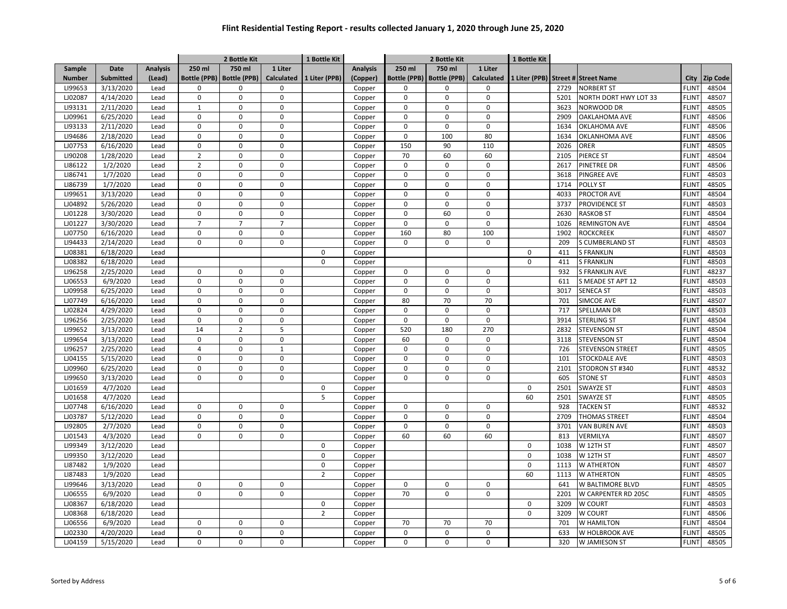|                    |                      |                 |                     | 2 Bottle Kit        |                   | 1 Bottle Kit   |                 |                     | 2 Bottle Kit        |                             | 1 Bottle Kit           |      |                         |              |                 |
|--------------------|----------------------|-----------------|---------------------|---------------------|-------------------|----------------|-----------------|---------------------|---------------------|-----------------------------|------------------------|------|-------------------------|--------------|-----------------|
| Sample             | <b>Date</b>          | <b>Analysis</b> | 250 ml              | 750 ml              | 1 Liter           |                | <b>Analysis</b> | 250 ml              | 750 ml              | 1 Liter                     |                        |      |                         |              |                 |
| <b>Number</b>      | <b>Submitted</b>     | (Lead)          | <b>Bottle (PPB)</b> | <b>Bottle (PPB)</b> | <b>Calculated</b> | 1 Liter (PPB)  | (Copper)        | <b>Bottle (PPB)</b> | <b>Bottle (PPB)</b> | Calculated                  | 1 Liter (PPB) Street # |      | <b>Street Name</b>      | City         | <b>Zip Code</b> |
| LI99653            | 3/13/2020            | Lead            | 0                   | $\mathbf 0$         | $\mathbf 0$       |                | Copper          | $\Omega$            | $\Omega$            | $\mathbf 0$                 |                        | 2729 | <b>NORBERT ST</b>       | <b>FLINT</b> | 48504           |
| LJ02087            | 4/14/2020            | Lead            | $\pmb{0}$           | $\pmb{0}$           | $\mathsf 0$       |                | Copper          | $\mathbf 0$         | 0                   | $\mathsf{O}$                |                        | 5201 | NORTH DORT HWY LOT 33   | <b>FLINT</b> | 48507           |
| LI93131            | 2/11/2020            | Lead            | $\mathbf{1}$        | $\mathbf 0$         | $\mathbf 0$       |                | Copper          | 0                   | $\mathbf 0$         | $\mathbf 0$                 |                        | 3623 | NORWOOD DR              | <b>FLINT</b> | 48505           |
| LJ09961            | 6/25/2020            | Lead            | $\pmb{0}$           | $\pmb{0}$           | $\mathsf 0$       |                | Copper          | 0                   | $\mathsf 0$         | $\mathsf{O}\xspace$         |                        | 2909 | <b>OAKLAHOMA AVE</b>    | <b>FLINT</b> | 48506           |
| LI93133            | 2/11/2020            | Lead            | 0                   | $\pmb{0}$           | $\mathbf 0$       |                | Copper          | 0                   | $\mathbf 0$         | $\mathbf 0$                 |                        | 1634 | OKLAHOMA AVE            | <b>FLINT</b> | 48506           |
| LI94686            | 2/18/2020            | Lead            | $\mathbf 0$         | $\Omega$            | $\mathbf 0$       |                | Copper          | $\Omega$            | 100                 | 80                          |                        | 1634 | <b>OKLANHOMA AVE</b>    | <b>FLINT</b> | 48506           |
| LJ07753            | 6/16/2020            | Lead            | $\Omega$            | $\pmb{0}$           | $\Omega$          |                | Copper          | 150                 | 90                  | 110                         |                        | 2026 | ORER                    | <b>FLINT</b> | 48505           |
| LI90208            | 1/28/2020            | Lead            | $\overline{2}$      | $\Omega$            | $\mathbf 0$       |                | Copper          | 70                  | 60                  | 60                          |                        | 2105 | PIERCE ST               | <b>FLINT</b> | 48504           |
| LI86122            | 1/2/2020             | Lead            | $\overline{2}$      | $\Omega$            | $\mathbf 0$       |                | Copper          | $\Omega$            | $\mathbf 0$         | $\Omega$                    |                        | 2617 | <b>PINETREE DR</b>      | <b>FLINT</b> | 48506           |
| LI86741            | 1/7/2020             | Lead            | $\Omega$            | $\Omega$            | $\mathbf 0$       |                | Copper          | $\Omega$            | $\mathbf 0$         | $\mathbf 0$                 |                        | 3618 | PINGREE AVE             | <b>FLINT</b> | 48503           |
| LI86739            | 1/7/2020             | Lead            | $\pmb{0}$           | $\pmb{0}$           | $\mathsf 0$       |                | Copper          | 0                   | $\mathbf 0$         | $\mathsf 0$                 |                        | 1714 | <b>POLLY ST</b>         | <b>FLINT</b> | 48505           |
| LI99651            | 3/13/2020            | Lead            | 0                   | $\pmb{0}$           | $\mathsf 0$       |                | Copper          | 0                   | $\mathbf 0$         | $\mathsf 0$                 |                        | 4033 | PROCTOR AVE             | <b>FLINT</b> | 48504           |
| LJ04892            | 5/26/2020            | Lead            | $\mathbf 0$         | $\pmb{0}$           | $\mathsf 0$       |                | Copper          | 0                   | $\mathbf 0$         | $\mathsf{O}\xspace$         |                        | 3737 | PROVIDENCE ST           | <b>FLINT</b> | 48503           |
| LJ01228            | 3/30/2020            | Lead            | $\Omega$            | $\pmb{0}$           | $\mathbf 0$       |                | Copper          | 0                   | 60                  | $\mathbf 0$                 |                        | 2630 | <b>RASKOB ST</b>        | <b>FLINT</b> | 48504           |
| LJ01227            | 3/30/2020            | Lead            | $\overline{7}$      | $\overline{7}$      | $\overline{7}$    |                | Copper          | 0                   | $\mathbf 0$         | $\mathbf 0$                 |                        | 1026 | <b>REMINGTON AVE</b>    | <b>FLINT</b> | 48504           |
| LJ07750            | 6/16/2020            | Lead            | 0                   | $\mathbf 0$         | $\mathbf 0$       |                | Copper          | 160                 | 80                  | 100                         |                        | 1902 | <b>ROCKCREEK</b>        | <b>FLINT</b> | 48507           |
| LI94433            | 2/14/2020            | Lead            | 0                   | $\mathbf 0$         | $\mathbf 0$       |                | Copper          | 0                   | $\mathbf 0$         | 0                           |                        | 209  | <b>S CUMBERLAND ST</b>  | <b>FLINT</b> | 48503           |
| LJ08381            | 6/18/2020            | Lead            |                     |                     |                   | $\mathbf 0$    | Copper          |                     |                     |                             | $\mathbf 0$            | 411  | <b>S FRANKLIN</b>       | <b>FLINT</b> | 48503           |
| LJ08382            | 6/18/2020            | Lead            |                     |                     |                   | $\Omega$       | Copper          |                     |                     |                             | 0                      | 411  | <b>S FRANKLIN</b>       | <b>FLINT</b> | 48503           |
| LI96258            | 2/25/2020            | Lead            | $\Omega$            | $\mathbf 0$         | $\Omega$          |                | Copper          | $\Omega$            | $\Omega$            | $\Omega$                    |                        | 932  | <b>S FRANKLIN AVE</b>   | <b>FLINT</b> | 48237           |
| LJ06553            | 6/9/2020             | Lead            | $\Omega$            | $\Omega$            | $\mathbf 0$       |                | Copper          | $\Omega$            | $\mathbf 0$         | $\Omega$                    |                        | 611  | S MEADE ST APT 12       | <b>FLINT</b> | 48503           |
| LJ09958            | 6/25/2020            | Lead            | $\Omega$            | $\Omega$            | $\mathbf 0$       |                | Copper          | $\Omega$            | $\Omega$            | $\Omega$                    |                        | 3017 | <b>SENECA ST</b>        | <b>FLINT</b> | 48503           |
| LJ07749            | 6/16/2020            | Lead            | $\Omega$            | $\Omega$            | $\mathbf 0$       |                | Copper          | 80                  | 70                  | 70                          |                        | 701  | SIMCOE AVE              | <b>FLINT</b> | 48507           |
| LJ02824            | 4/29/2020            | Lead            | $\mathbf 0$         | $\pmb{0}$           | $\mathbf 0$       |                | Copper          | 0                   | $\mathbf 0$         | $\mathsf 0$                 |                        | 717  | SPELLMAN DR             | <b>FLINT</b> | 48503           |
| LI96256            | 2/25/2020            | Lead            | $\Omega$            | $\mathbf 0$         | $\mathbf 0$       |                | Copper          | $\mathbf 0$         | $\mathbf 0$         | $\mathbf 0$                 |                        | 3914 | <b>STERLING ST</b>      | <b>FLINT</b> | 48504           |
| LI99652            | 3/13/2020            | Lead            | 14                  | $\overline{2}$      | 5                 |                | Copper          | 520                 | 180                 | 270                         |                        | 2832 | <b>STEVENSON ST</b>     | <b>FLINT</b> | 48504           |
| LI99654            | 3/13/2020            | Lead            | 0                   | $\pmb{0}$           | $\mathsf 0$       |                | Copper          | 60                  | $\mathbf 0$         | 0                           |                        | 3118 | <b>STEVENSON ST</b>     | <b>FLINT</b> | 48504           |
| LI96257            | 2/25/2020            | Lead            | $\overline{4}$      | $\pmb{0}$           | $\mathbf{1}$      |                | Copper          | 0                   | $\mathbf 0$         | $\mathsf 0$                 |                        | 726  | <b>STEVENSON STREET</b> | <b>FLINT</b> | 48505           |
| LJ04155            | 5/15/2020            | Lead            | $\mathbf 0$         | $\pmb{0}$           | $\mathbf 0$       |                | Copper          | $\mathbf 0$         | $\mathbf 0$         | $\mathbf 0$                 |                        | 101  | STOCKDALE AVE           | <b>FLINT</b> | 48503           |
| LJ09960            | 6/25/2020            | Lead            | 0                   | $\pmb{0}$           | $\mathsf 0$       |                | Copper          | 0                   | $\mathsf 0$         | $\mathsf 0$                 |                        | 2101 | STODRON ST #340         | <b>FLINT</b> | 48532           |
| LI99650            | 3/13/2020            | Lead            | 0                   | $\mathbf 0$         | $\Omega$          |                | Copper          | $\Omega$            | $\Omega$            | $\mathbf 0$                 |                        | 605  | <b>STONE ST</b>         | <b>FLINT</b> | 48503           |
| LJ01659            | 4/7/2020             | Lead            |                     |                     |                   | $\Omega$       | Copper          |                     |                     |                             | 0                      | 2501 | <b>SWAYZE ST</b>        | <b>FLINT</b> | 48503           |
| LJ01658            | 4/7/2020             | Lead            |                     |                     |                   | 5              | Copper          |                     |                     |                             | 60                     | 2501 | <b>SWAYZE ST</b>        | <b>FLINT</b> | 48505           |
| LJ07748            | 6/16/2020            | Lead            | $\Omega$            | $\Omega$            | $\mathbf 0$       |                | Copper          | $\Omega$            | $\mathbf 0$         | $\Omega$                    |                        | 928  | <b>TACKEN ST</b>        | <b>FLINT</b> | 48532           |
| LJ03787            | 5/12/2020            | Lead            | $\Omega$            | $\mathbf 0$         | $\mathbf 0$       |                | Copper          | $\Omega$            | $\Omega$            | $\mathbf 0$                 |                        | 2709 | <b>THOMAS STREET</b>    | <b>FLINT</b> | 48504           |
| LI92805            | 2/7/2020             | Lead            | $\Omega$            | $\Omega$            | $\mathsf 0$       |                | Copper          | $\Omega$            | $\mathbf 0$         | $\pmb{0}$                   |                        | 3701 | <b>VAN BUREN AVE</b>    | <b>FLINT</b> | 48503           |
| LJ01543            | 4/3/2020             | Lead            | $\Omega$            | $\pmb{0}$           | $\mathsf 0$       |                | Copper          | 60                  | 60                  | 60                          |                        | 813  | VERMILYA                | <b>FLINT</b> | 48507           |
| LI99349            | 3/12/2020            | Lead            |                     |                     |                   | $\Omega$       | Copper          |                     |                     |                             | $\mathbf 0$            | 1038 | W 12TH ST               | <b>FLINT</b> | 48507           |
| LI99350            | 3/12/2020            | Lead            |                     |                     |                   | $\mathbf 0$    |                 |                     |                     |                             | $\mathsf 0$            | 1038 | W 12TH ST               | <b>FLINT</b> | 48507           |
| LI87482            |                      | Lead            |                     |                     |                   | $\mathbf 0$    | Copper          |                     |                     |                             | $\mathbf 0$            | 1113 | W ATHERTON              | <b>FLINT</b> | 48507           |
| LI87483            | 1/9/2020<br>1/9/2020 | Lead            |                     |                     |                   | $\overline{2}$ | Copper          |                     |                     |                             | 60                     | 1113 |                         | <b>FLINT</b> | 48505           |
|                    |                      |                 |                     |                     |                   |                | Copper          |                     |                     |                             |                        |      | W ATHERTON              |              |                 |
| LI99646<br>LJ06555 | 3/13/2020            | Lead            | $\mathbf 0$<br>0    | 0<br>$\mathbf 0$    | 0<br>$\mathbf 0$  |                | Copper          | 0<br>70             | 0<br>$\mathbf 0$    | $\mathbf 0$<br>$\mathsf{O}$ |                        | 641  | W BALTIMORE BLVD        | <b>FLINT</b> | 48505<br>48505  |
|                    | 6/9/2020             | Lead            |                     |                     |                   |                | Copper          |                     |                     |                             |                        | 2201 | W CARPENTER RD 205C     | <b>FLINT</b> |                 |
| LJ08367            | 6/18/2020            | Lead            |                     |                     |                   | $\mathbf{0}$   | Copper          |                     |                     |                             | $\mathbf 0$            | 3209 | W COURT                 | <b>FLINT</b> | 48503           |
| LJ08368            | 6/18/2020            | Lead            |                     |                     |                   | $\overline{2}$ | Copper          |                     |                     |                             | $\mathbf 0$            | 3209 | W COURT                 | <b>FLINT</b> | 48506           |
| LJ06556            | 6/9/2020             | Lead            | $\Omega$            | $\mathbf 0$         | $\Omega$          |                | Copper          | 70                  | 70                  | 70                          |                        | 701  | W HAMILTON              | <b>FLINT</b> | 48504           |
| LJ02330            | 4/20/2020            | Lead            | $\Omega$            | $\Omega$            | $\mathbf 0$       |                | Copper          | $\Omega$            | $\mathbf 0$         | $\Omega$                    |                        | 633  | W HOLBROOK AVE          | <b>FLINT</b> | 48505           |
| LJ04159            | 5/15/2020            | Lead            | $\Omega$            | $\Omega$            | $\mathbf 0$       |                | Copper          | $\Omega$            | $\Omega$            | $\mathbf 0$                 |                        | 320  | W JAMIESON ST           | <b>FLINT</b> | 48505           |